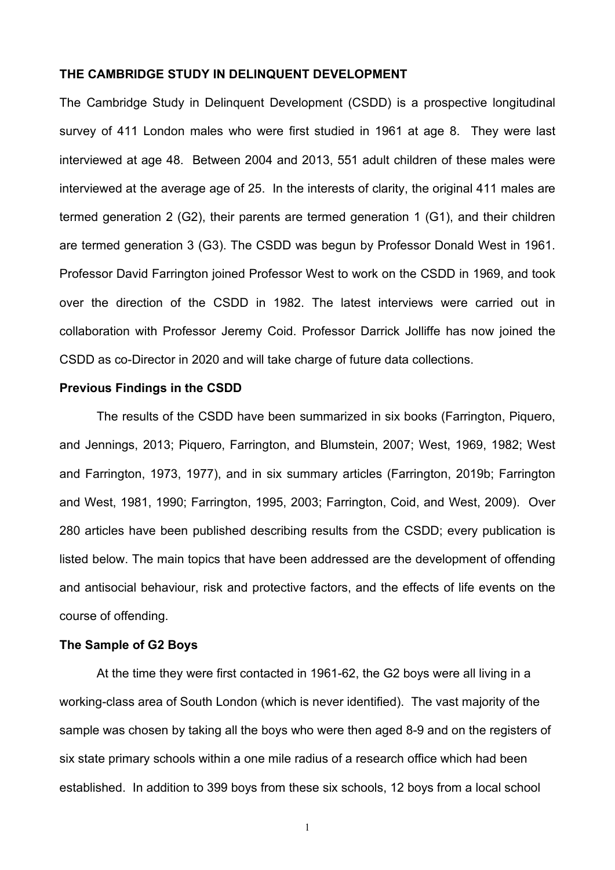### **THE CAMBRIDGE STUDY IN DELINQUENT DEVELOPMENT**

The Cambridge Study in Delinquent Development (CSDD) is a prospective longitudinal survey of 411 London males who were first studied in 1961 at age 8. They were last interviewed at age 48. Between 2004 and 2013, 551 adult children of these males were interviewed at the average age of 25. In the interests of clarity, the original 411 males are termed generation 2 (G2), their parents are termed generation 1 (G1), and their children are termed generation 3 (G3). The CSDD was begun by Professor Donald West in 1961. Professor David Farrington joined Professor West to work on the CSDD in 1969, and took over the direction of the CSDD in 1982. The latest interviews were carried out in collaboration with Professor Jeremy Coid. Professor Darrick Jolliffe has now joined the CSDD as co-Director in 2020 and will take charge of future data collections.

#### **Previous Findings in the CSDD**

The results of the CSDD have been summarized in six books (Farrington, Piquero, and Jennings, 2013; Piquero, Farrington, and Blumstein, 2007; West, 1969, 1982; West and Farrington, 1973, 1977), and in six summary articles (Farrington, 2019b; Farrington and West, 1981, 1990; Farrington, 1995, 2003; Farrington, Coid, and West, 2009). Over 280 articles have been published describing results from the CSDD; every publication is listed below. The main topics that have been addressed are the development of offending and antisocial behaviour, risk and protective factors, and the effects of life events on the course of offending.

### **The Sample of G2 Boys**

At the time they were first contacted in 1961-62, the G2 boys were all living in a working-class area of South London (which is never identified). The vast majority of the sample was chosen by taking all the boys who were then aged 8-9 and on the registers of six state primary schools within a one mile radius of a research office which had been established. In addition to 399 boys from these six schools, 12 boys from a local school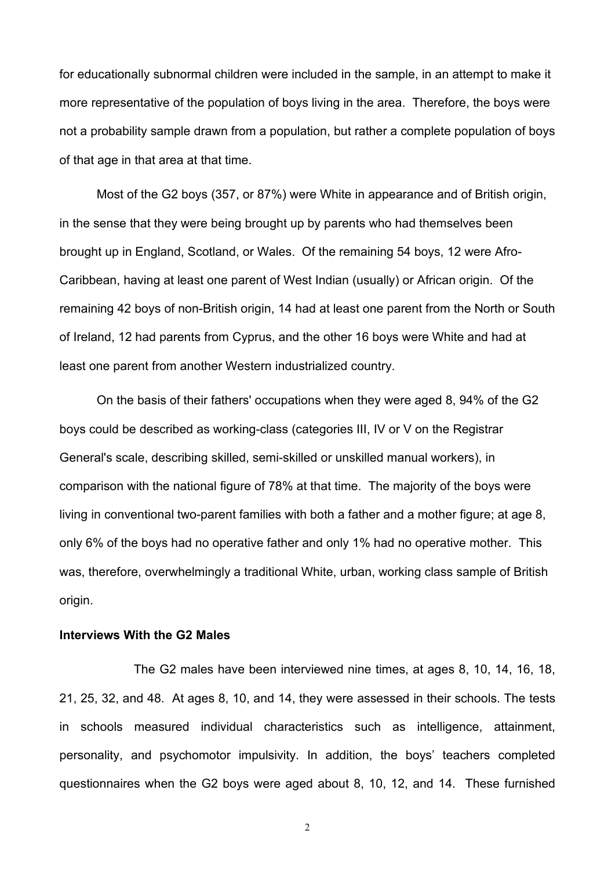for educationally subnormal children were included in the sample, in an attempt to make it more representative of the population of boys living in the area. Therefore, the boys were not a probability sample drawn from a population, but rather a complete population of boys of that age in that area at that time.

Most of the G2 boys (357, or 87%) were White in appearance and of British origin, in the sense that they were being brought up by parents who had themselves been brought up in England, Scotland, or Wales. Of the remaining 54 boys, 12 were Afro-Caribbean, having at least one parent of West Indian (usually) or African origin. Of the remaining 42 boys of non-British origin, 14 had at least one parent from the North or South of Ireland, 12 had parents from Cyprus, and the other 16 boys were White and had at least one parent from another Western industrialized country.

On the basis of their fathers' occupations when they were aged 8, 94% of the G2 boys could be described as working-class (categories III, IV or V on the Registrar General's scale, describing skilled, semi-skilled or unskilled manual workers), in comparison with the national figure of 78% at that time. The majority of the boys were living in conventional two-parent families with both a father and a mother figure; at age 8, only 6% of the boys had no operative father and only 1% had no operative mother. This was, therefore, overwhelmingly a traditional White, urban, working class sample of British origin.

### **Interviews With the G2 Males**

The G2 males have been interviewed nine times, at ages 8, 10, 14, 16, 18, 21, 25, 32, and 48. At ages 8, 10, and 14, they were assessed in their schools. The tests in schools measured individual characteristics such as intelligence, attainment, personality, and psychomotor impulsivity. In addition, the boys' teachers completed questionnaires when the G2 boys were aged about 8, 10, 12, and 14. These furnished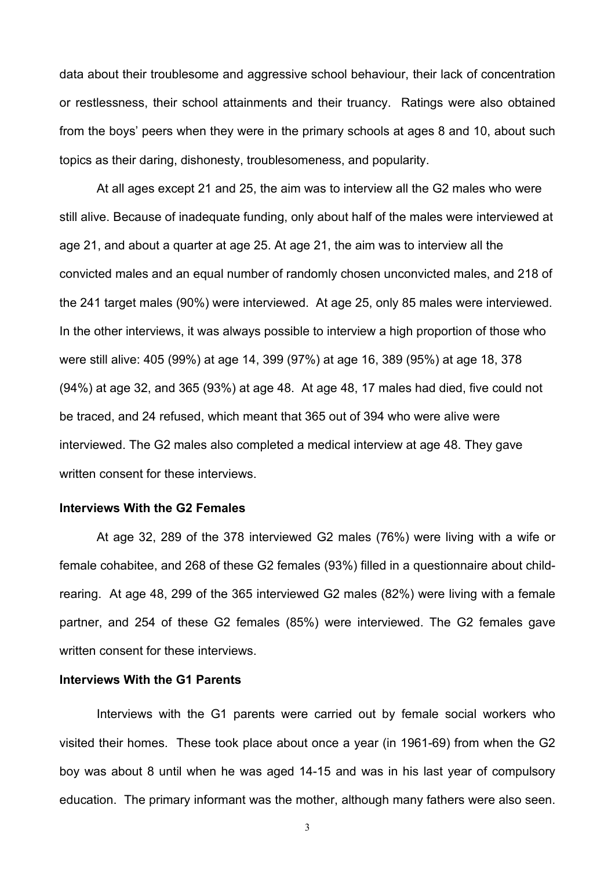data about their troublesome and aggressive school behaviour, their lack of concentration or restlessness, their school attainments and their truancy. Ratings were also obtained from the boys' peers when they were in the primary schools at ages 8 and 10, about such topics as their daring, dishonesty, troublesomeness, and popularity.

At all ages except 21 and 25, the aim was to interview all the G2 males who were still alive. Because of inadequate funding, only about half of the males were interviewed at age 21, and about a quarter at age 25. At age 21, the aim was to interview all the convicted males and an equal number of randomly chosen unconvicted males, and 218 of the 241 target males (90%) were interviewed. At age 25, only 85 males were interviewed. In the other interviews, it was always possible to interview a high proportion of those who were still alive: 405 (99%) at age 14, 399 (97%) at age 16, 389 (95%) at age 18, 378 (94%) at age 32, and 365 (93%) at age 48. At age 48, 17 males had died, five could not be traced, and 24 refused, which meant that 365 out of 394 who were alive were interviewed. The G2 males also completed a medical interview at age 48. They gave written consent for these interviews.

### **Interviews With the G2 Females**

At age 32, 289 of the 378 interviewed G2 males (76%) were living with a wife or female cohabitee, and 268 of these G2 females (93%) filled in a questionnaire about childrearing. At age 48, 299 of the 365 interviewed G2 males (82%) were living with a female partner, and 254 of these G2 females (85%) were interviewed. The G2 females gave written consent for these interviews.

### **Interviews With the G1 Parents**

Interviews with the G1 parents were carried out by female social workers who visited their homes. These took place about once a year (in 1961-69) from when the G2 boy was about 8 until when he was aged 14-15 and was in his last year of compulsory education. The primary informant was the mother, although many fathers were also seen.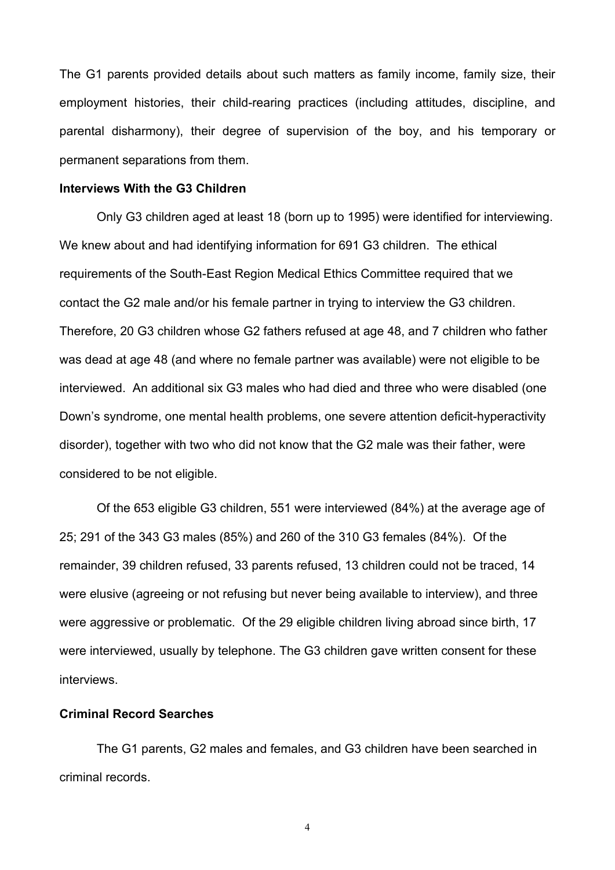The G1 parents provided details about such matters as family income, family size, their employment histories, their child-rearing practices (including attitudes, discipline, and parental disharmony), their degree of supervision of the boy, and his temporary or permanent separations from them.

#### **Interviews With the G3 Children**

Only G3 children aged at least 18 (born up to 1995) were identified for interviewing. We knew about and had identifying information for 691 G3 children. The ethical requirements of the South-East Region Medical Ethics Committee required that we contact the G2 male and/or his female partner in trying to interview the G3 children. Therefore, 20 G3 children whose G2 fathers refused at age 48, and 7 children who father was dead at age 48 (and where no female partner was available) were not eligible to be interviewed. An additional six G3 males who had died and three who were disabled (one Down's syndrome, one mental health problems, one severe attention deficit-hyperactivity disorder), together with two who did not know that the G2 male was their father, were considered to be not eligible.

Of the 653 eligible G3 children, 551 were interviewed (84%) at the average age of 25; 291 of the 343 G3 males (85%) and 260 of the 310 G3 females (84%). Of the remainder, 39 children refused, 33 parents refused, 13 children could not be traced, 14 were elusive (agreeing or not refusing but never being available to interview), and three were aggressive or problematic. Of the 29 eligible children living abroad since birth, 17 were interviewed, usually by telephone. The G3 children gave written consent for these interviews.

### **Criminal Record Searches**

The G1 parents, G2 males and females, and G3 children have been searched in criminal records.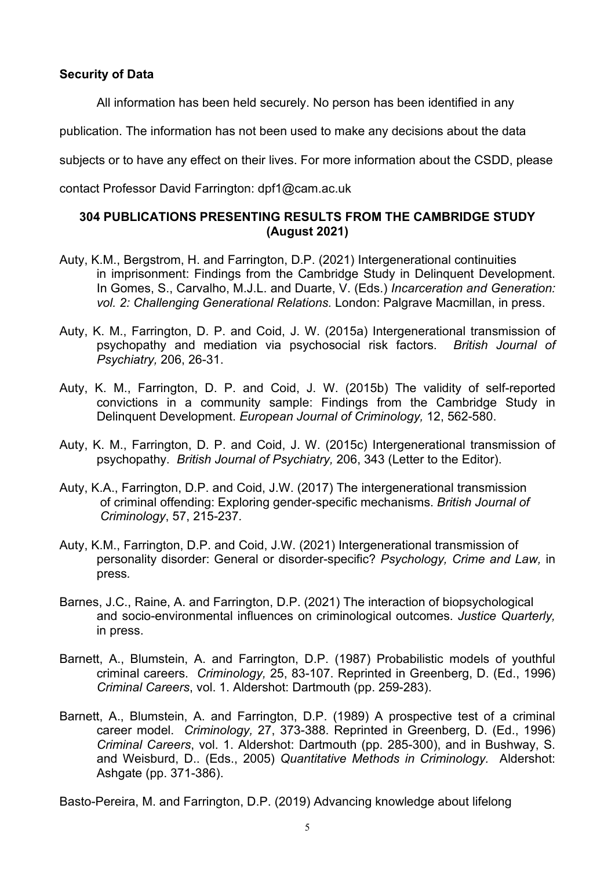## **Security of Data**

All information has been held securely. No person has been identified in any

publication. The information has not been used to make any decisions about the data

subjects or to have any effect on their lives. For more information about the CSDD, please

contact Professor David Farrington: dpf1@cam.ac.uk

# **304 PUBLICATIONS PRESENTING RESULTS FROM THE CAMBRIDGE STUDY (August 2021)**

- Auty, K.M., Bergstrom, H. and Farrington, D.P. (2021) Intergenerational continuities in imprisonment: Findings from the Cambridge Study in Delinquent Development. In Gomes, S., Carvalho, M.J.L. and Duarte, V. (Eds.) *Incarceration and Generation: vol. 2: Challenging Generational Relations.* London: Palgrave Macmillan, in press.
- Auty, K. M., Farrington, D. P. and Coid, J. W. (2015a) Intergenerational transmission of psychopathy and mediation via psychosocial risk factors. *British Journal of Psychiatry,* 206, 26-31.
- Auty, K. M., Farrington, D. P. and Coid, J. W. (2015b) The validity of self-reported convictions in a community sample: Findings from the Cambridge Study in Delinquent Development. *European Journal of Criminology,* 12, 562-580.
- Auty, K. M., Farrington, D. P. and Coid, J. W. (2015c) Intergenerational transmission of psychopathy. *British Journal of Psychiatry,* 206, 343 (Letter to the Editor).
- Auty, K.A., Farrington, D.P. and Coid, J.W. (2017) The intergenerational transmission of criminal offending: Exploring gender-specific mechanisms. *British Journal of Criminology*, 57, 215-237*.*
- Auty, K.M., Farrington, D.P. and Coid, J.W. (2021) Intergenerational transmission of personality disorder: General or disorder-specific? *Psychology, Crime and Law,* in press*.*
- Barnes, J.C., Raine, A. and Farrington, D.P. (2021) The interaction of biopsychological and socio-environmental influences on criminological outcomes. *Justice Quarterly,*  in press.
- Barnett, A., Blumstein, A. and Farrington, D.P. (1987) Probabilistic models of youthful criminal careers. *Criminology,* 25, 83-107. Reprinted in Greenberg, D. (Ed., 1996) *Criminal Careers*, vol. 1. Aldershot: Dartmouth (pp. 259-283).
- Barnett, A., Blumstein, A. and Farrington, D.P. (1989) A prospective test of a criminal career model. *Criminology,* 27, 373-388. Reprinted in Greenberg, D. (Ed., 1996) *Criminal Careers*, vol. 1. Aldershot: Dartmouth (pp. 285-300), and in Bushway, S. and Weisburd, D.. (Eds., 2005) *Quantitative Methods in Criminology.* Aldershot: Ashgate (pp. 371-386).

Basto-Pereira, M. and Farrington, D.P. (2019) Advancing knowledge about lifelong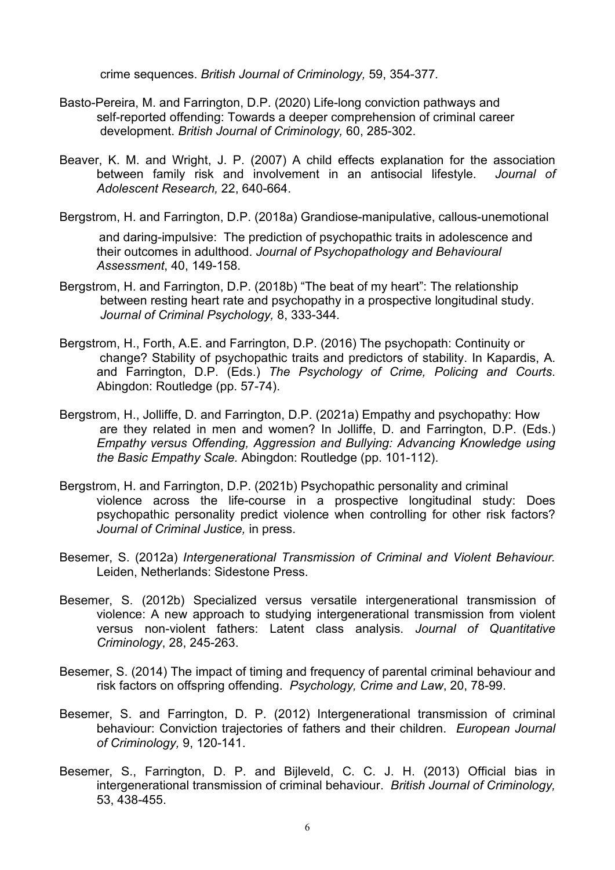crime sequences. *British Journal of Criminology,* 59, 354-377*.*

- Basto-Pereira, M. and Farrington, D.P. (2020) Life-long conviction pathways and self-reported offending: Towards a deeper comprehension of criminal career development. *British Journal of Criminology,* 60, 285-302.
- Beaver, K. M. and Wright, J. P. (2007) A child effects explanation for the association between family risk and involvement in an antisocial lifestyle. *Journal of Adolescent Research,* 22, 640-664.

Bergstrom, H. and Farrington, D.P. (2018a) Grandiose-manipulative, callous-unemotional

and daring-impulsive: The prediction of psychopathic traits in adolescence and their outcomes in adulthood. *Journal of Psychopathology and Behavioural Assessment*, 40, 149-158.

- Bergstrom, H. and Farrington, D.P. (2018b) "The beat of my heart": The relationship between resting heart rate and psychopathy in a prospective longitudinal study. *Journal of Criminal Psychology,* 8, 333-344*.*
- Bergstrom, H., Forth, A.E. and Farrington, D.P. (2016) The psychopath: Continuity or change? Stability of psychopathic traits and predictors of stability. In Kapardis, A. and Farrington, D.P. (Eds.) *The Psychology of Crime, Policing and Courts*. Abingdon: Routledge (pp. 57-74).
- Bergstrom, H., Jolliffe, D. and Farrington, D.P. (2021a) Empathy and psychopathy: How are they related in men and women? In Jolliffe, D. and Farrington, D.P. (Eds.) *Empathy versus Offending, Aggression and Bullying: Advancing Knowledge using the Basic Empathy Scale.* Abingdon: Routledge (pp. 101-112).
- Bergstrom, H. and Farrington, D.P. (2021b) Psychopathic personality and criminal violence across the life-course in a prospective longitudinal study: Does psychopathic personality predict violence when controlling for other risk factors? *Journal of Criminal Justice,* in press.
- Besemer, S. (2012a) *Intergenerational Transmission of Criminal and Violent Behaviour.* Leiden, Netherlands: Sidestone Press.
- Besemer, S. (2012b) Specialized versus versatile intergenerational transmission of violence: A new approach to studying intergenerational transmission from violent versus non-violent fathers: Latent class analysis. *Journal of Quantitative Criminology*, 28, 245-263.
- Besemer, S. (2014) The impact of timing and frequency of parental criminal behaviour and risk factors on offspring offending. *Psychology, Crime and Law*, 20, 78-99.
- Besemer, S. and Farrington, D. P. (2012) Intergenerational transmission of criminal behaviour: Conviction trajectories of fathers and their children. *European Journal of Criminology,* 9, 120-141.
- Besemer, S., Farrington, D. P. and Bijleveld, C. C. J. H. (2013) Official bias in intergenerational transmission of criminal behaviour. *British Journal of Criminology,* 53, 438-455.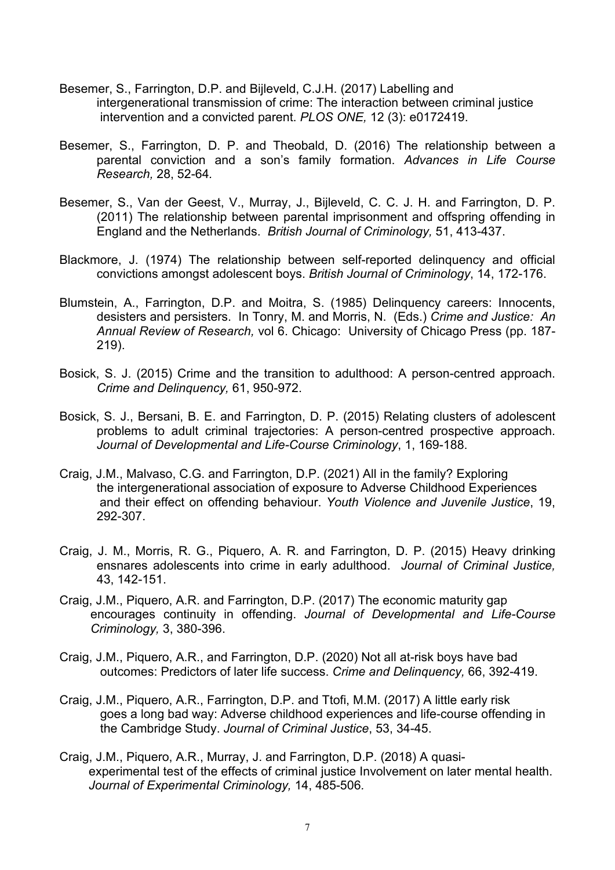- Besemer, S., Farrington, D.P. and Bijleveld, C.J.H. (2017) Labelling and intergenerational transmission of crime: The interaction between criminal justice intervention and a convicted parent. *PLOS ONE,* 12 (3): e0172419.
- Besemer, S., Farrington, D. P. and Theobald, D. (2016) The relationship between a parental conviction and a son's family formation. *Advances in Life Course Research,* 28, 52-64*.*
- Besemer, S., Van der Geest, V., Murray, J., Bijleveld, C. C. J. H. and Farrington, D. P. (2011) The relationship between parental imprisonment and offspring offending in England and the Netherlands. *British Journal of Criminology,* 51, 413-437.
- Blackmore, J. (1974) The relationship between self-reported delinquency and official convictions amongst adolescent boys. *British Journal of Criminology*, 14, 172-176.
- Blumstein, A., Farrington, D.P. and Moitra, S. (1985) Delinquency careers: Innocents, desisters and persisters. In Tonry, M. and Morris, N. (Eds.) *Crime and Justice: An Annual Review of Research,* vol 6. Chicago: University of Chicago Press (pp. 187- 219).
- Bosick, S. J. (2015) Crime and the transition to adulthood: A person-centred approach. *Crime and Delinquency,* 61, 950-972.
- Bosick, S. J., Bersani, B. E. and Farrington, D. P. (2015) Relating clusters of adolescent problems to adult criminal trajectories: A person-centred prospective approach. *Journal of Developmental and Life-Course Criminology*, 1, 169-188.
- Craig, J.M., Malvaso, C.G. and Farrington, D.P. (2021) All in the family? Exploring the intergenerational association of exposure to Adverse Childhood Experiences and their effect on offending behaviour. *Youth Violence and Juvenile Justice*, 19, 292-307.
- Craig, J. M., Morris, R. G., Piquero, A. R. and Farrington, D. P. (2015) Heavy drinking ensnares adolescents into crime in early adulthood. *Journal of Criminal Justice,* 43, 142-151.
- Craig, J.M., Piquero, A.R. and Farrington, D.P. (2017) The economic maturity gap encourages continuity in offending. *Journal of Developmental and Life-Course Criminology,* 3, 380-396.
- Craig, J.M., Piquero, A.R., and Farrington, D.P. (2020) Not all at-risk boys have bad outcomes: Predictors of later life success. *Crime and Delinquency,* 66, 392-419.
- Craig, J.M., Piquero, A.R., Farrington, D.P. and Ttofi, M.M. (2017) A little early risk goes a long bad way: Adverse childhood experiences and life-course offending in the Cambridge Study. *Journal of Criminal Justice*, 53, 34-45.
- Craig, J.M., Piquero, A.R., Murray, J. and Farrington, D.P. (2018) A quasiexperimental test of the effects of criminal justice Involvement on later mental health. *Journal of Experimental Criminology,* 14, 485-506*.*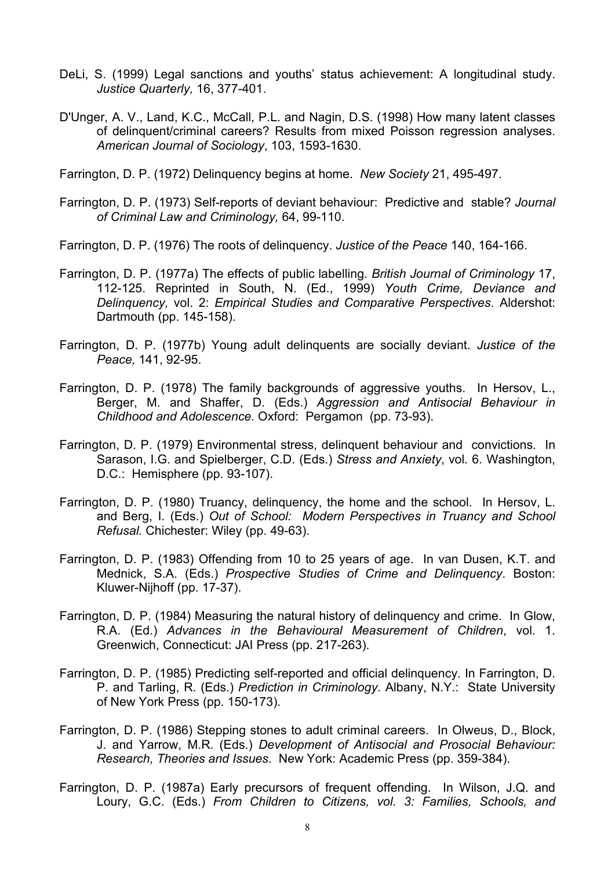- DeLi, S. (1999) Legal sanctions and youths' status achievement: A longitudinal study. *Justice Quarterly,* 16, 377-401.
- D'Unger, A. V., Land, K.C., McCall, P.L. and Nagin, D.S. (1998) How many latent classes of delinquent/criminal careers? Results from mixed Poisson regression analyses. *American Journal of Sociology*, 103, 1593-1630.
- Farrington, D. P. (1972) Delinquency begins at home. *New Society* 21, 495-497.
- Farrington, D. P. (1973) Self-reports of deviant behaviour: Predictive and stable? *Journal of Criminal Law and Criminology,* 64, 99-110.
- Farrington, D. P. (1976) The roots of delinquency. *Justice of the Peace* 140, 164-166.
- Farrington, D. P. (1977a) The effects of public labelling. *British Journal of Criminology* 17, 112-125. Reprinted in South, N. (Ed., 1999) *Youth Crime, Deviance and Delinquency,* vol. 2: *Empirical Studies and Comparative Perspectives*. Aldershot: Dartmouth (pp. 145-158).
- Farrington, D. P. (1977b) Young adult delinquents are socially deviant. *Justice of the Peace,* 141, 92-95.
- Farrington, D. P. (1978) The family backgrounds of aggressive youths. In Hersov, L., Berger, M. and Shaffer, D. (Eds.) *Aggression and Antisocial Behaviour in Childhood and Adolescence.* Oxford: Pergamon (pp. 73-93).
- Farrington, D. P. (1979) Environmental stress, delinquent behaviour and convictions. In Sarason, I.G. and Spielberger, C.D. (Eds.) *Stress and Anxiety*, vol. 6. Washington, D.C.: Hemisphere (pp. 93-107).
- Farrington, D. P. (1980) Truancy, delinquency, the home and the school. In Hersov, L. and Berg, I. (Eds.) *Out of School: Modern Perspectives in Truancy and School Refusal.* Chichester: Wiley (pp. 49-63).
- Farrington, D. P. (1983) Offending from 10 to 25 years of age. In van Dusen, K.T. and Mednick, S.A. (Eds.) *Prospective Studies of Crime and Delinquency*. Boston: Kluwer-Nijhoff (pp. 17-37).
- Farrington, D. P. (1984) Measuring the natural history of delinquency and crime. In Glow, R.A. (Ed.) *Advances in the Behavioural Measurement of Children*, vol. 1. Greenwich, Connecticut: JAI Press (pp. 217-263).
- Farrington, D. P. (1985) Predicting self-reported and official delinquency. In Farrington, D. P. and Tarling, R. (Eds.) *Prediction in Criminology*. Albany, N.Y.: State University of New York Press (pp. 150-173).
- Farrington, D. P. (1986) Stepping stones to adult criminal careers. In Olweus, D., Block, J. and Yarrow, M.R. (Eds.) *Development of Antisocial and Prosocial Behaviour: Research, Theories and Issues*. New York: Academic Press (pp. 359-384).
- Farrington, D. P. (1987a) Early precursors of frequent offending. In Wilson, J.Q. and Loury, G.C. (Eds.) *From Children to Citizens, vol. 3: Families, Schools, and*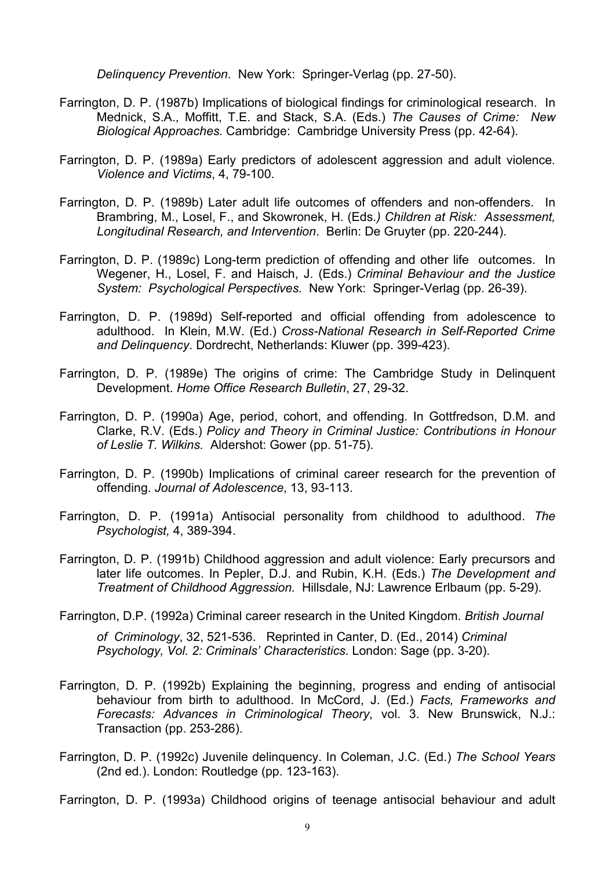*Delinquency Prevention*. New York: Springer-Verlag (pp. 27-50).

- Farrington, D. P. (1987b) Implications of biological findings for criminological research. In Mednick, S.A., Moffitt, T.E. and Stack, S.A. (Eds.) *The Causes of Crime: New Biological Approaches.* Cambridge: Cambridge University Press (pp. 42-64).
- Farrington, D. P. (1989a) Early predictors of adolescent aggression and adult violence*. Violence and Victims*, 4, 79-100.
- Farrington, D. P. (1989b) Later adult life outcomes of offenders and non-offenders. In Brambring, M., Losel, F., and Skowronek, H. (Eds*.) Children at Risk: Assessment, Longitudinal Research, and Intervention*. Berlin: De Gruyter (pp. 220-244).
- Farrington, D. P. (1989c) Long-term prediction of offending and other life outcomes. In Wegener, H., Losel, F. and Haisch, J. (Eds.) *Criminal Behaviour and the Justice System: Psychological Perspectives.* New York: Springer-Verlag (pp. 26-39).
- Farrington, D. P. (1989d) Self-reported and official offending from adolescence to adulthood. In Klein, M.W. (Ed.) *Cross-National Research in Self-Reported Crime and Delinquency*. Dordrecht, Netherlands: Kluwer (pp. 399-423).
- Farrington, D. P. (1989e) The origins of crime: The Cambridge Study in Delinquent Development. *Home Office Research Bulletin*, 27, 29-32.
- Farrington, D. P. (1990a) Age, period, cohort, and offending. In Gottfredson, D.M. and Clarke, R.V. (Eds.) *Policy and Theory in Criminal Justice: Contributions in Honour of Leslie T. Wilkins.* Aldershot: Gower (pp. 51-75).
- Farrington, D. P. (1990b) Implications of criminal career research for the prevention of offending. *Journal of Adolescence*, 13, 93-113.
- Farrington, D. P. (1991a) Antisocial personality from childhood to adulthood. *The Psychologist,* 4, 389-394.
- Farrington, D. P. (1991b) Childhood aggression and adult violence: Early precursors and later life outcomes. In Pepler, D.J. and Rubin, K.H. (Eds.) *The Development and Treatment of Childhood Aggression.* Hillsdale, NJ: Lawrence Erlbaum (pp. 5-29).
- Farrington, D.P. (1992a) Criminal career research in the United Kingdom. *British Journal*

*of Criminology*, 32, 521-536. Reprinted in Canter, D. (Ed., 2014) *Criminal Psychology, Vol. 2: Criminals' Characteristics*. London: Sage (pp. 3-20).

- Farrington, D. P. (1992b) Explaining the beginning, progress and ending of antisocial behaviour from birth to adulthood. In McCord, J. (Ed.) *Facts, Frameworks and Forecasts: Advances in Criminological Theory*, vol. 3. New Brunswick, N.J.: Transaction (pp. 253-286).
- Farrington, D. P. (1992c) Juvenile delinquency. In Coleman, J.C. (Ed.) *The School Years* (2nd ed.). London: Routledge (pp. 123-163).

Farrington, D. P. (1993a) Childhood origins of teenage antisocial behaviour and adult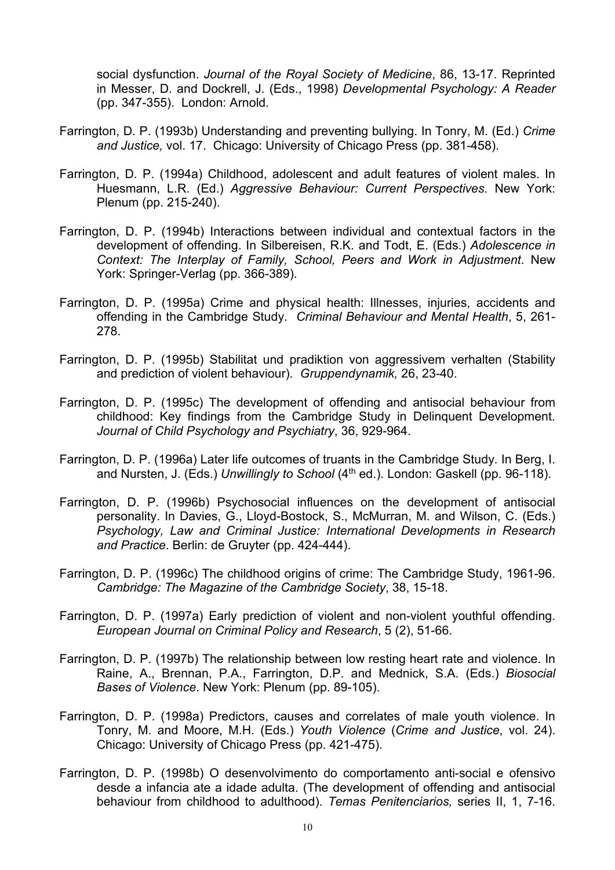social dysfunction. *Journal of the Royal Society of Medicine*, 86, 13-17. Reprinted in Messer, D. and Dockrell, J. (Eds., 1998) *Developmental Psychology: A Reader* (pp. 347-355). London: Arnold.

- Farrington, D. P. (1993b) Understanding and preventing bullying. In Tonry, M. (Ed.) *Crime and Justice,* vol. 17. Chicago: University of Chicago Press (pp. 381-458).
- Farrington, D. P. (1994a) Childhood, adolescent and adult features of violent males. In Huesmann, L.R. (Ed.) *Aggressive Behaviour: Current Perspectives.* New York: Plenum (pp. 215-240).
- Farrington, D. P. (1994b) Interactions between individual and contextual factors in the development of offending. In Silbereisen, R.K. and Todt, E. (Eds.) *Adolescence in Context: The Interplay of Family, School, Peers and Work in Adjustment*. New York: Springer-Verlag (pp. 366-389).
- Farrington, D. P. (1995a) Crime and physical health: Illnesses, injuries, accidents and offending in the Cambridge Study. *Criminal Behaviour and Mental Health*, 5, 261- 278.
- Farrington, D. P. (1995b) Stabilitat und pradiktion von aggressivem verhalten (Stability and prediction of violent behaviour). *Gruppendynamik,* 26, 23-40.
- Farrington, D. P. (1995c) The development of offending and antisocial behaviour from childhood: Key findings from the Cambridge Study in Delinquent Development. *Journal of Child Psychology and Psychiatry*, 36, 929-964.
- Farrington, D. P. (1996a) Later life outcomes of truants in the Cambridge Study. In Berg, I. and Nursten, J. (Eds.) *Unwillingly to School* (4<sup>th</sup> ed.). London: Gaskell (pp. 96-118).
- Farrington, D. P. (1996b) Psychosocial influences on the development of antisocial personality. In Davies, G., Lloyd-Bostock, S., McMurran, M. and Wilson, C. (Eds.) *Psychology, Law and Criminal Justice: International Developments in Research and Practice*. Berlin: de Gruyter (pp. 424-444).
- Farrington, D. P. (1996c) The childhood origins of crime: The Cambridge Study, 1961-96. *Cambridge: The Magazine of the Cambridge Society*, 38, 15-18.
- Farrington, D. P. (1997a) Early prediction of violent and non-violent youthful offending. *European Journal on Criminal Policy and Research*, 5 (2), 51-66.
- Farrington, D. P. (1997b) The relationship between low resting heart rate and violence. In Raine, A., Brennan, P.A., Farrington, D.P. and Mednick, S.A. (Eds.) *Biosocial Bases of Violence*. New York: Plenum (pp. 89-105).
- Farrington, D. P. (1998a) Predictors, causes and correlates of male youth violence. In Tonry, M. and Moore, M.H. (Eds.) *Youth Violence* (*Crime and Justice*, vol. 24). Chicago: University of Chicago Press (pp. 421-475).
- Farrington, D. P. (1998b) O desenvolvimento do comportamento anti-social e ofensivo desde a infancia ate a idade adulta. (The development of offending and antisocial behaviour from childhood to adulthood). *Temas Penitenciarios,* series II, 1, 7-16.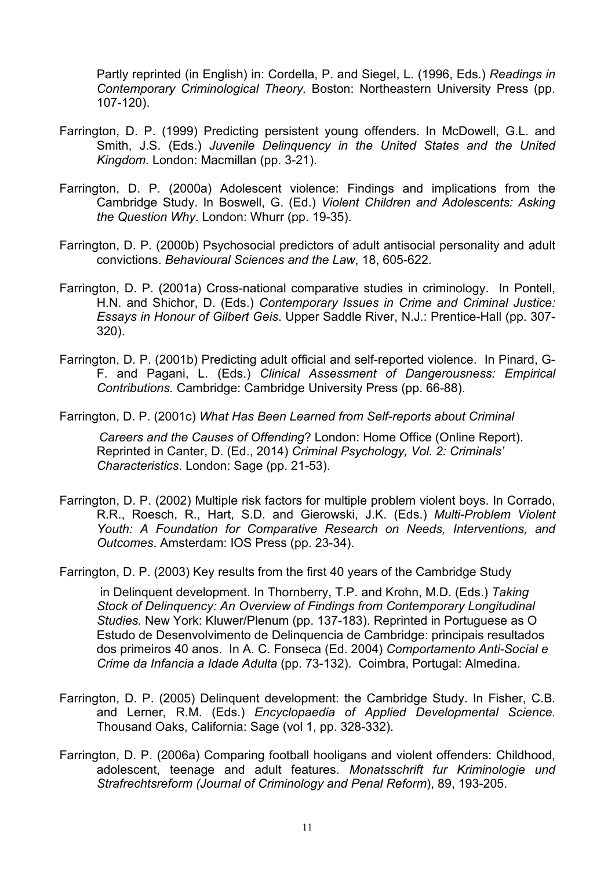Partly reprinted (in English) in: Cordella, P. and Siegel, L. (1996, Eds.) *Readings in Contemporary Criminological Theory.* Boston: Northeastern University Press (pp. 107-120).

- Farrington, D. P. (1999) Predicting persistent young offenders. In McDowell, G.L. and Smith, J.S. (Eds.) *Juvenile Delinquency in the United States and the United Kingdom*. London: Macmillan (pp. 3-21).
- Farrington, D. P. (2000a) Adolescent violence: Findings and implications from the Cambridge Study. In Boswell, G. (Ed.) *Violent Children and Adolescents: Asking the Question Why*. London: Whurr (pp. 19-35).
- Farrington, D. P. (2000b) Psychosocial predictors of adult antisocial personality and adult convictions. *Behavioural Sciences and the Law*, 18, 605-622.
- Farrington, D. P. (2001a) Cross-national comparative studies in criminology. In Pontell, H.N. and Shichor, D. (Eds.) *Contemporary Issues in Crime and Criminal Justice: Essays in Honour of Gilbert Geis*. Upper Saddle River, N.J.: Prentice-Hall (pp. 307- 320).
- Farrington, D. P. (2001b) Predicting adult official and self-reported violence. In Pinard, G-F. and Pagani, L. (Eds.) *Clinical Assessment of Dangerousness: Empirical Contributions.* Cambridge: Cambridge University Press (pp. 66-88).

Farrington, D. P. (2001c) *What Has Been Learned from Self-reports about Criminal*

*Careers and the Causes of Offending*? London: Home Office (Online Report). Reprinted in Canter, D. (Ed., 2014) *Criminal Psychology, Vol. 2: Criminals' Characteristics*. London: Sage (pp. 21-53).

Farrington, D. P. (2002) Multiple risk factors for multiple problem violent boys. In Corrado, R.R., Roesch, R., Hart, S.D. and Gierowski, J.K. (Eds.) *Multi-Problem Violent Youth: A Foundation for Comparative Research on Needs, Interventions, and Outcomes*. Amsterdam: IOS Press (pp. 23-34).

Farrington, D. P. (2003) Key results from the first 40 years of the Cambridge Study

in Delinquent development. In Thornberry, T.P. and Krohn, M.D. (Eds.) *Taking Stock of Delinquency: An Overview of Findings from Contemporary Longitudinal Studies.* New York: Kluwer/Plenum (pp. 137-183). Reprinted in Portuguese as O Estudo de Desenvolvimento de Delinquencia de Cambridge: principais resultados dos primeiros 40 anos. In A. C. Fonseca (Ed. 2004) *Comportamento Anti-Social e Crime da Infancia a Idade Adulta* (pp. 73-132). Coimbra, Portugal: Almedina.

- Farrington, D. P. (2005) Delinquent development: the Cambridge Study. In Fisher, C.B. and Lerner, R.M. (Eds.) *Encyclopaedia of Applied Developmental Science*. Thousand Oaks, California: Sage (vol 1, pp. 328-332).
- Farrington, D. P. (2006a) Comparing football hooligans and violent offenders: Childhood, adolescent, teenage and adult features. *Monatsschrift fur Kriminologie und Strafrechtsreform (Journal of Criminology and Penal Reform*), 89, 193-205.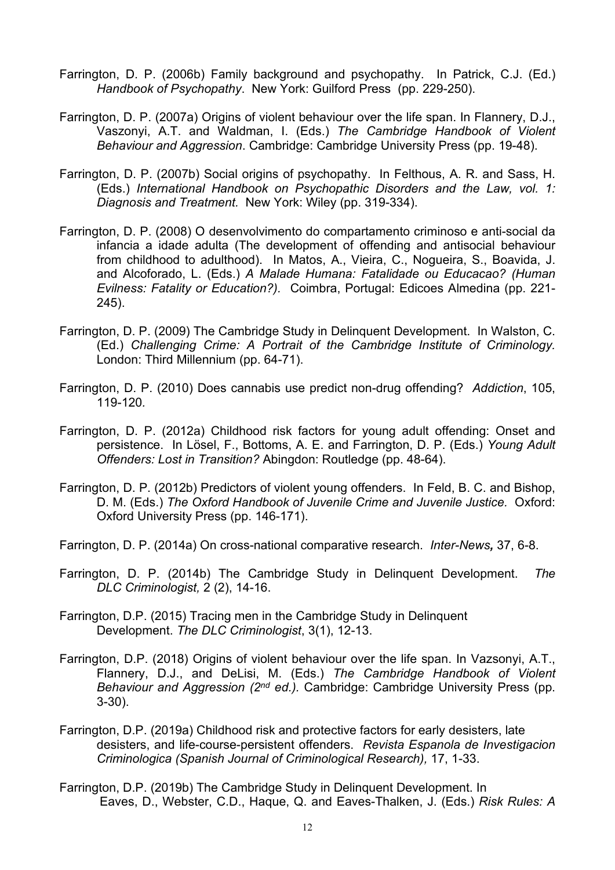- Farrington, D. P. (2006b) Family background and psychopathy. In Patrick, C.J. (Ed.) *Handbook of Psychopathy*. New York: Guilford Press (pp. 229-250).
- Farrington, D. P. (2007a) Origins of violent behaviour over the life span. In Flannery, D.J., Vaszonyi, A.T. and Waldman, I. (Eds.) *The Cambridge Handbook of Violent Behaviour and Aggression*. Cambridge: Cambridge University Press (pp. 19-48).
- Farrington, D. P. (2007b) Social origins of psychopathy. In Felthous, A. R. and Sass, H. (Eds.) *International Handbook on Psychopathic Disorders and the Law, vol. 1: Diagnosis and Treatment.* New York: Wiley (pp. 319-334).
- Farrington, D. P. (2008) O desenvolvimento do compartamento criminoso e anti-social da infancia a idade adulta (The development of offending and antisocial behaviour from childhood to adulthood). In Matos, A., Vieira, C., Nogueira, S., Boavida, J. and Alcoforado, L. (Eds.) *A Malade Humana: Fatalidade ou Educacao? (Human Evilness: Fatality or Education?).* Coimbra, Portugal: Edicoes Almedina (pp. 221- 245).
- Farrington, D. P. (2009) The Cambridge Study in Delinquent Development. In Walston, C. (Ed.) *Challenging Crime: A Portrait of the Cambridge Institute of Criminology.* London: Third Millennium (pp. 64-71).
- Farrington, D. P. (2010) Does cannabis use predict non-drug offending? *Addiction*, 105, 119-120*.*
- Farrington, D. P. (2012a) Childhood risk factors for young adult offending: Onset and persistence. In Lösel, F., Bottoms, A. E. and Farrington, D. P. (Eds.) *Young Adult Offenders: Lost in Transition?* Abingdon: Routledge (pp. 48-64).
- Farrington, D. P. (2012b) Predictors of violent young offenders. In Feld, B. C. and Bishop, D. M. (Eds.) *The Oxford Handbook of Juvenile Crime and Juvenile Justice.* Oxford: Oxford University Press (pp. 146-171).
- Farrington, D. P. (2014a) On cross-national comparative research. *Inter-News,* 37, 6-8.
- Farrington, D. P. (2014b) The Cambridge Study in Delinquent Development. *The DLC Criminologist,* 2 (2), 14-16.
- Farrington, D.P. (2015) Tracing men in the Cambridge Study in Delinquent Development. *The DLC Criminologist*, 3(1), 12-13.
- Farrington, D.P. (2018) Origins of violent behaviour over the life span. In Vazsonyi, A.T., Flannery, D.J., and DeLisi, M. (Eds.) *The Cambridge Handbook of Violent Behaviour and Aggression (2nd ed.).* Cambridge: Cambridge University Press (pp. 3-30).
- Farrington, D.P. (2019a) Childhood risk and protective factors for early desisters, late desisters, and life-course-persistent offenders. *Revista Espanola de Investigacion Criminologica (Spanish Journal of Criminological Research),* 17, 1-33.
- Farrington, D.P. (2019b) The Cambridge Study in Delinquent Development. In Eaves, D., Webster, C.D., Haque, Q. and Eaves-Thalken, J. (Eds.) *Risk Rules: A*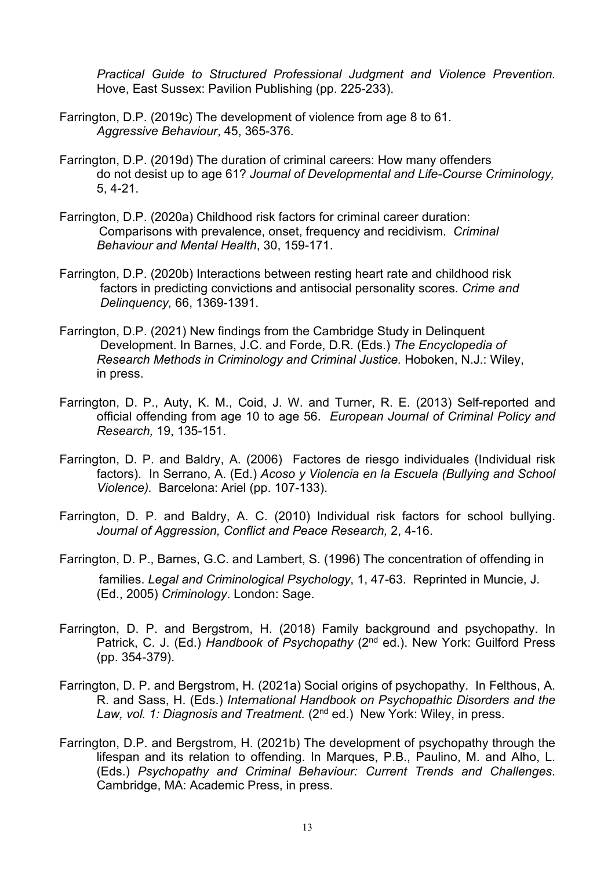*Practical Guide to Structured Professional Judgment and Violence Prevention.* Hove, East Sussex: Pavilion Publishing (pp. 225-233).

- Farrington, D.P. (2019c) The development of violence from age 8 to 61. *Aggressive Behaviour*, 45, 365-376.
- Farrington, D.P. (2019d) The duration of criminal careers: How many offenders do not desist up to age 61? *Journal of Developmental and Life-Course Criminology,*  5, 4-21.
- Farrington, D.P. (2020a) Childhood risk factors for criminal career duration: Comparisons with prevalence, onset, frequency and recidivism. *Criminal Behaviour and Mental Health*, 30, 159-171.
- Farrington, D.P. (2020b) Interactions between resting heart rate and childhood risk factors in predicting convictions and antisocial personality scores. *Crime and Delinquency,* 66, 1369-1391.
- Farrington, D.P. (2021) New findings from the Cambridge Study in Delinquent Development. In Barnes, J.C. and Forde, D.R. (Eds.) *The Encyclopedia of Research Methods in Criminology and Criminal Justice.* Hoboken, N.J.: Wiley, in press.
- Farrington, D. P., Auty, K. M., Coid, J. W. and Turner, R. E. (2013) Self-reported and official offending from age 10 to age 56. *European Journal of Criminal Policy and Research,* 19, 135-151.
- Farrington, D. P. and Baldry, A. (2006) Factores de riesgo individuales (Individual risk factors). In Serrano, A. (Ed.) *Acoso y Violencia en la Escuela (Bullying and School Violence).* Barcelona: Ariel (pp. 107-133).
- Farrington, D. P. and Baldry, A. C. (2010) Individual risk factors for school bullying. *Journal of Aggression, Conflict and Peace Research,* 2, 4-16.
- Farrington, D. P., Barnes, G.C. and Lambert, S. (1996) The concentration of offending in families. *Legal and Criminological Psychology*, 1, 47-63. Reprinted in Muncie, J. (Ed., 2005) *Criminology*. London: Sage.
- Farrington, D. P. and Bergstrom, H. (2018) Family background and psychopathy. In Patrick, C. J. (Ed.) *Handbook of Psychopathy* (2nd ed.). New York: Guilford Press (pp. 354-379).
- Farrington, D. P. and Bergstrom, H. (2021a) Social origins of psychopathy. In Felthous, A. R. and Sass, H. (Eds.) *International Handbook on Psychopathic Disorders and the*  Law, vol. 1: Diagnosis and Treatment. (2<sup>nd</sup> ed.) New York: Wiley, in press.
- Farrington, D.P. and Bergstrom, H. (2021b) The development of psychopathy through the lifespan and its relation to offending. In Marques, P.B., Paulino, M. and Alho, L. (Eds.) *Psychopathy and Criminal Behaviour: Current Trends and Challenges*. Cambridge, MA: Academic Press, in press.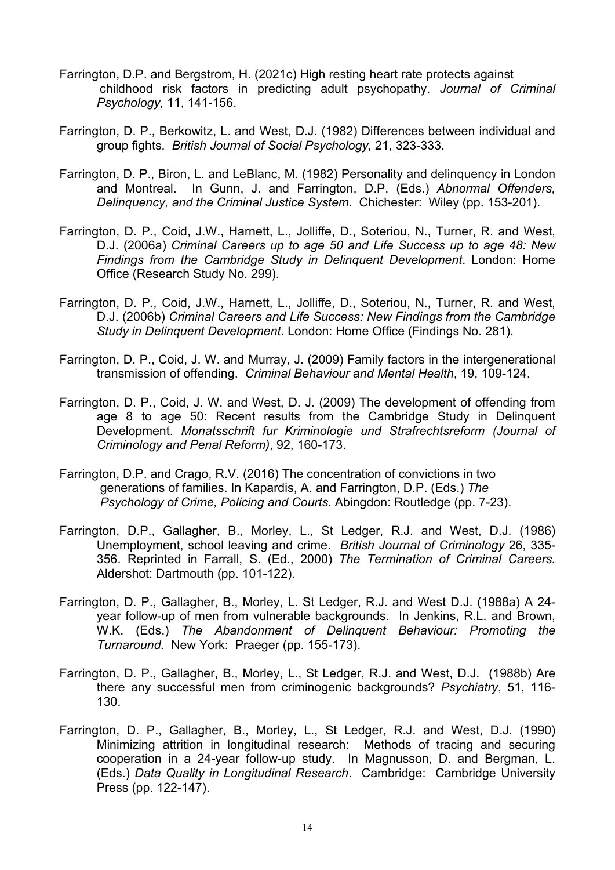- Farrington, D.P. and Bergstrom, H. (2021c) High resting heart rate protects against childhood risk factors in predicting adult psychopathy. *Journal of Criminal Psychology,* 11, 141-156.
- Farrington, D. P., Berkowitz, L. and West, D.J. (1982) Differences between individual and group fights. *British Journal of Social Psychology,* 21, 323-333.
- Farrington, D. P., Biron, L. and LeBlanc, M. (1982) Personality and delinquency in London and Montreal. In Gunn, J. and Farrington, D.P. (Eds.) *Abnormal Offenders, Delinquency, and the Criminal Justice System.* Chichester: Wiley (pp. 153-201).
- Farrington, D. P., Coid, J.W., Harnett, L., Jolliffe, D., Soteriou, N., Turner, R. and West, D.J. (2006a) *Criminal Careers up to age 50 and Life Success up to age 48: New Findings from the Cambridge Study in Delinquent Development*. London: Home Office (Research Study No. 299).
- Farrington, D. P., Coid, J.W., Harnett, L., Jolliffe, D., Soteriou, N., Turner, R. and West, D.J. (2006b) *Criminal Careers and Life Success: New Findings from the Cambridge Study in Delinquent Development*. London: Home Office (Findings No. 281).
- Farrington, D. P., Coid, J. W. and Murray, J. (2009) Family factors in the intergenerational transmission of offending. *Criminal Behaviour and Mental Health*, 19, 109-124.
- Farrington, D. P., Coid, J. W. and West, D. J. (2009) The development of offending from age 8 to age 50: Recent results from the Cambridge Study in Delinquent Development. *Monatsschrift fur Kriminologie und Strafrechtsreform (Journal of Criminology and Penal Reform)*, 92, 160-173.
- Farrington, D.P. and Crago, R.V. (2016) The concentration of convictions in two generations of families. In Kapardis, A. and Farrington, D.P. (Eds.) *The Psychology of Crime, Policing and Courts*. Abingdon: Routledge (pp. 7-23).
- Farrington, D.P., Gallagher, B., Morley, L., St Ledger, R.J. and West, D.J. (1986) Unemployment, school leaving and crime. *British Journal of Criminology* 26, 335- 356. Reprinted in Farrall, S. (Ed., 2000) *The Termination of Criminal Careers.* Aldershot: Dartmouth (pp. 101-122).
- Farrington, D. P., Gallagher, B., Morley, L. St Ledger, R.J. and West D.J. (1988a) A 24 year follow-up of men from vulnerable backgrounds. In Jenkins, R.L. and Brown, W.K. (Eds.) *The Abandonment of Delinquent Behaviour: Promoting the Turnaround.* New York: Praeger (pp. 155-173).
- Farrington, D. P., Gallagher, B., Morley, L., St Ledger, R.J. and West, D.J. (1988b) Are there any successful men from criminogenic backgrounds? *Psychiatry*, 51, 116- 130.
- Farrington, D. P., Gallagher, B., Morley, L., St Ledger, R.J. and West, D.J. (1990) Minimizing attrition in longitudinal research: Methods of tracing and securing cooperation in a 24-year follow-up study. In Magnusson, D. and Bergman, L. (Eds.) *Data Quality in Longitudinal Research*. Cambridge: Cambridge University Press (pp. 122-147).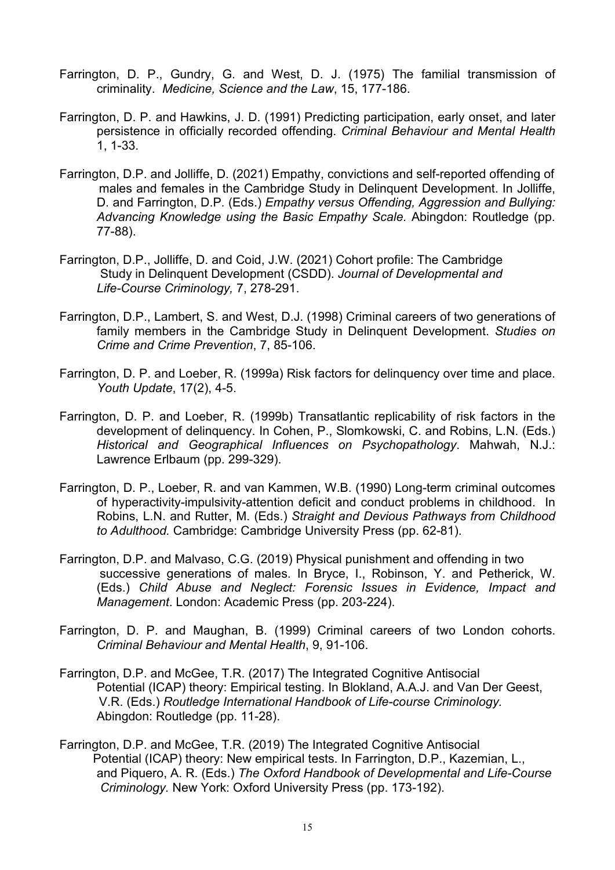- Farrington, D. P., Gundry, G. and West, D. J. (1975) The familial transmission of criminality. *Medicine, Science and the Law*, 15, 177-186.
- Farrington, D. P. and Hawkins, J. D. (1991) Predicting participation, early onset, and later persistence in officially recorded offending. *Criminal Behaviour and Mental Health* 1, 1-33.
- Farrington, D.P. and Jolliffe, D. (2021) Empathy, convictions and self-reported offending of males and females in the Cambridge Study in Delinquent Development. In Jolliffe, D. and Farrington, D.P. (Eds.) *Empathy versus Offending, Aggression and Bullying: Advancing Knowledge using the Basic Empathy Scale.* Abingdon: Routledge (pp. 77-88).
- Farrington, D.P., Jolliffe, D. and Coid, J.W. (2021) Cohort profile: The Cambridge Study in Delinquent Development (CSDD). *Journal of Developmental and Life-Course Criminology,* 7, 278-291.
- Farrington, D.P., Lambert, S. and West, D.J. (1998) Criminal careers of two generations of family members in the Cambridge Study in Delinquent Development. *Studies on Crime and Crime Prevention*, 7, 85-106.
- Farrington, D. P. and Loeber, R. (1999a) Risk factors for delinquency over time and place. *Youth Update*, 17(2), 4-5.
- Farrington, D. P. and Loeber, R. (1999b) Transatlantic replicability of risk factors in the development of delinquency. In Cohen, P., Slomkowski, C. and Robins, L.N. (Eds.) *Historical and Geographical Influences on Psychopathology*. Mahwah, N.J.: Lawrence Erlbaum (pp. 299-329).
- Farrington, D. P., Loeber, R. and van Kammen, W.B. (1990) Long-term criminal outcomes of hyperactivity-impulsivity-attention deficit and conduct problems in childhood. In Robins, L.N. and Rutter, M. (Eds.) *Straight and Devious Pathways from Childhood to Adulthood.* Cambridge: Cambridge University Press (pp. 62-81).
- Farrington, D.P. and Malvaso, C.G. (2019) Physical punishment and offending in two successive generations of males. In Bryce, I., Robinson, Y. and Petherick, W. (Eds.) *Child Abuse and Neglect: Forensic Issues in Evidence, Impact and Management*. London: Academic Press (pp. 203-224).
- Farrington, D. P. and Maughan, B. (1999) Criminal careers of two London cohorts. *Criminal Behaviour and Mental Health*, 9, 91-106.
- Farrington, D.P. and McGee, T.R. (2017) The Integrated Cognitive Antisocial Potential (ICAP) theory: Empirical testing. In Blokland, A.A.J. and Van Der Geest, V.R. (Eds.) *Routledge International Handbook of Life-course Criminology.*  Abingdon: Routledge (pp. 11-28).
- Farrington, D.P. and McGee, T.R. (2019) The Integrated Cognitive Antisocial Potential (ICAP) theory: New empirical tests. In Farrington, D.P., Kazemian, L., and Piquero, A. R. (Eds.) *The Oxford Handbook of Developmental and Life-Course Criminology.* New York: Oxford University Press (pp. 173-192).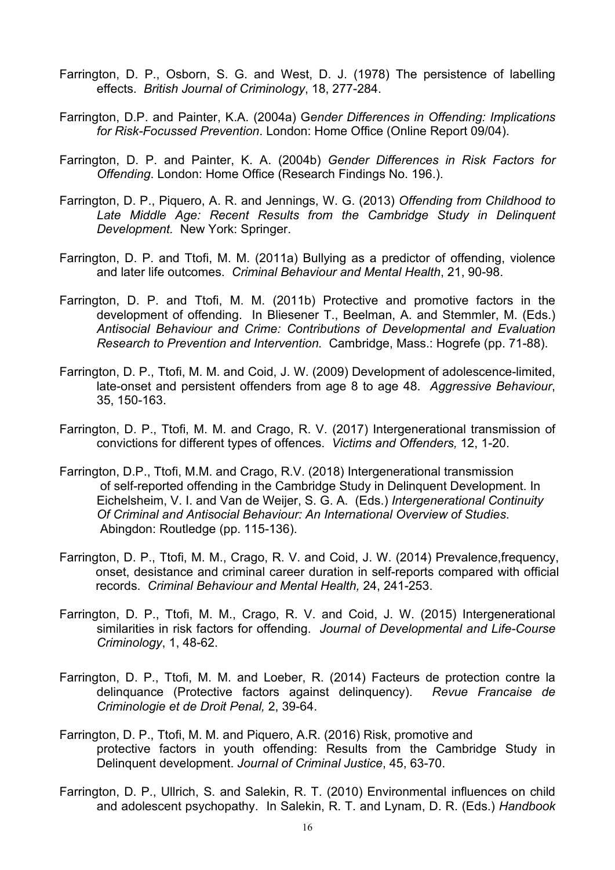- Farrington, D. P., Osborn, S. G. and West, D. J. (1978) The persistence of labelling effects. *British Journal of Criminology*, 18, 277-284.
- Farrington, D.P. and Painter, K.A. (2004a) G*ender Differences in Offending: Implications for Risk-Focussed Prevention*. London: Home Office (Online Report 09/04).
- Farrington, D. P. and Painter, K. A. (2004b) *Gender Differences in Risk Factors for Offending*. London: Home Office (Research Findings No. 196.).
- Farrington, D. P., Piquero, A. R. and Jennings, W. G. (2013) *Offending from Childhood to*  Late Middle Age: Recent Results from the Cambridge Study in Delinquent *Development.* New York: Springer.
- Farrington, D. P. and Ttofi, M. M. (2011a) Bullying as a predictor of offending, violence and later life outcomes. *Criminal Behaviour and Mental Health*, 21, 90-98.
- Farrington, D. P. and Ttofi, M. M. (2011b) Protective and promotive factors in the development of offending. In Bliesener T., Beelman, A. and Stemmler, M. (Eds.) *Antisocial Behaviour and Crime: Contributions of Developmental and Evaluation Research to Prevention and Intervention.* Cambridge, Mass.: Hogrefe (pp. 71-88).
- Farrington, D. P., Ttofi, M. M. and Coid, J. W. (2009) Development of adolescence-limited, late-onset and persistent offenders from age 8 to age 48. *Aggressive Behaviour*, 35, 150-163.
- Farrington, D. P., Ttofi, M. M. and Crago, R. V. (2017) Intergenerational transmission of convictions for different types of offences. *Victims and Offenders,* 12, 1-20.
- Farrington, D.P., Ttofi, M.M. and Crago, R.V. (2018) Intergenerational transmission of self-reported offending in the Cambridge Study in Delinquent Development. In Eichelsheim, V. I. and Van de Weijer, S. G. A. (Eds.) *Intergenerational Continuity Of Criminal and Antisocial Behaviour: An International Overview of Studies*. Abingdon: Routledge (pp. 115-136).
- Farrington, D. P., Ttofi, M. M., Crago, R. V. and Coid, J. W. (2014) Prevalence,frequency, onset, desistance and criminal career duration in self-reports compared with official records. *Criminal Behaviour and Mental Health,* 24, 241-253.
- Farrington, D. P., Ttofi, M. M., Crago, R. V. and Coid, J. W. (2015) Intergenerational similarities in risk factors for offending. *Journal of Developmental and Life-Course Criminology*, 1, 48-62.
- Farrington, D. P., Ttofi, M. M. and Loeber, R. (2014) Facteurs de protection contre la delinquance (Protective factors against delinquency). *Revue Francaise de Criminologie et de Droit Penal,* 2, 39-64.
- Farrington, D. P., Ttofi, M. M. and Piquero, A.R. (2016) Risk, promotive and protective factors in youth offending: Results from the Cambridge Study in Delinquent development. *Journal of Criminal Justice*, 45, 63-70.
- Farrington, D. P., Ullrich, S. and Salekin, R. T. (2010) Environmental influences on child and adolescent psychopathy. In Salekin, R. T. and Lynam, D. R. (Eds.) *Handbook*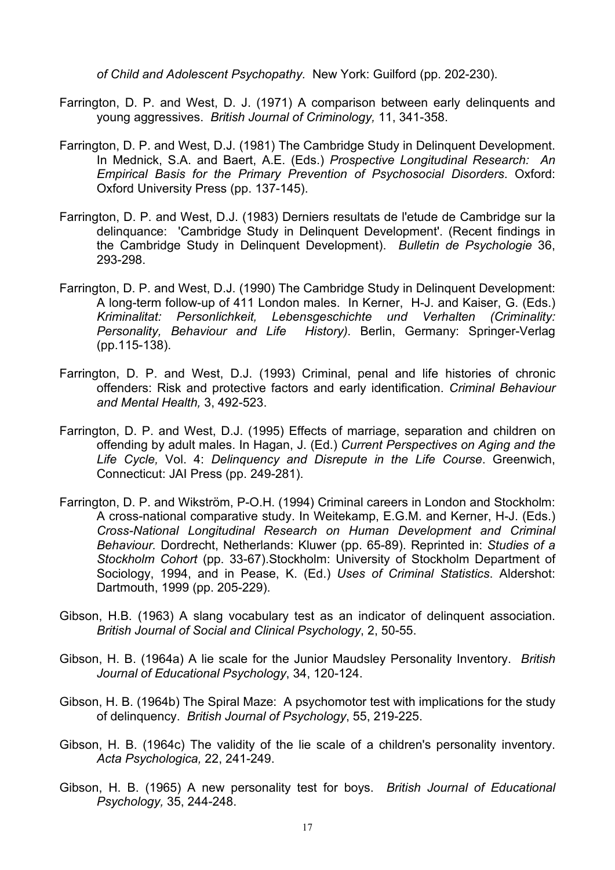*of Child and Adolescent Psychopathy.* New York: Guilford (pp. 202-230).

- Farrington, D. P. and West, D. J. (1971) A comparison between early delinquents and young aggressives. *British Journal of Criminology,* 11, 341-358.
- Farrington, D. P. and West, D.J. (1981) The Cambridge Study in Delinquent Development. In Mednick, S.A. and Baert, A.E. (Eds.) *Prospective Longitudinal Research: An Empirical Basis for the Primary Prevention of Psychosocial Disorders*. Oxford: Oxford University Press (pp. 137-145).
- Farrington, D. P. and West, D.J. (1983) Derniers resultats de l'etude de Cambridge sur la delinquance: 'Cambridge Study in Delinquent Development'. (Recent findings in the Cambridge Study in Delinquent Development). *Bulletin de Psychologie* 36, 293-298.
- Farrington, D. P. and West, D.J. (1990) The Cambridge Study in Delinquent Development: A long-term follow-up of 411 London males. In Kerner, H-J. and Kaiser, G. (Eds.) *Kriminalitat: Personlichkeit, Lebensgeschichte und Verhalten (Criminality: History).* Berlin, Germany: Springer-Verlag (pp.115-138).
- Farrington, D. P. and West, D.J. (1993) Criminal, penal and life histories of chronic offenders: Risk and protective factors and early identification. *Criminal Behaviour and Mental Health,* 3, 492-523.
- Farrington, D. P. and West, D.J. (1995) Effects of marriage, separation and children on offending by adult males. In Hagan, J. (Ed.) *Current Perspectives on Aging and the Life Cycle,* Vol. 4: *Delinquency and Disrepute in the Life Course*. Greenwich, Connecticut: JAI Press (pp. 249-281).
- Farrington, D. P. and Wikström, P-O.H. (1994) Criminal careers in London and Stockholm: A cross-national comparative study. In Weitekamp, E.G.M. and Kerner, H-J. (Eds.) *Cross-National Longitudinal Research on Human Development and Criminal Behaviour.* Dordrecht, Netherlands: Kluwer (pp. 65-89). Reprinted in: *Studies of a Stockholm Cohort* (pp. 33-67).Stockholm: University of Stockholm Department of Sociology, 1994, and in Pease, K. (Ed.) *Uses of Criminal Statistics*. Aldershot: Dartmouth, 1999 (pp. 205-229).
- Gibson, H.B. (1963) A slang vocabulary test as an indicator of delinquent association. *British Journal of Social and Clinical Psychology*, 2, 50-55.
- Gibson, H. B. (1964a) A lie scale for the Junior Maudsley Personality Inventory. *British Journal of Educational Psychology*, 34, 120-124.
- Gibson, H. B. (1964b) The Spiral Maze: A psychomotor test with implications for the study of delinquency. *British Journal of Psychology*, 55, 219-225.
- Gibson, H. B. (1964c) The validity of the lie scale of a children's personality inventory. *Acta Psychologica,* 22, 241-249.
- Gibson, H. B. (1965) A new personality test for boys. *British Journal of Educational Psychology,* 35, 244-248.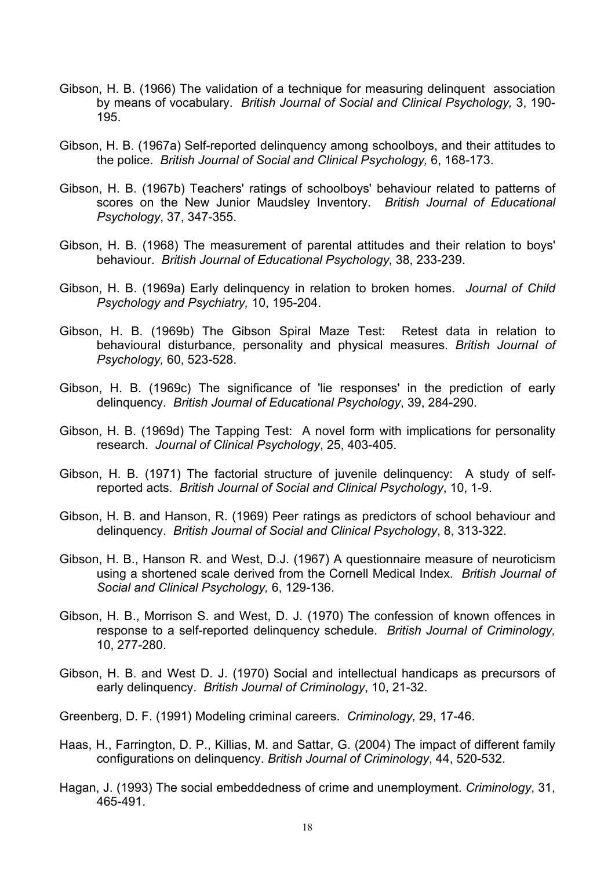- Gibson, H. B. (1966) The validation of a technique for measuring delinquent association by means of vocabulary. *British Journal of Social and Clinical Psychology,* 3, 190- 195.
- Gibson, H. B. (1967a) Self-reported delinquency among schoolboys, and their attitudes to the police. *British Journal of Social and Clinical Psychology,* 6, 168-173.
- Gibson, H. B. (1967b) Teachers' ratings of schoolboys' behaviour related to patterns of scores on the New Junior Maudsley Inventory. *British Journal of Educational Psychology*, 37, 347-355.
- Gibson, H. B. (1968) The measurement of parental attitudes and their relation to boys' behaviour. *British Journal of Educational Psychology*, 38, 233-239.
- Gibson, H. B. (1969a) Early delinquency in relation to broken homes. *Journal of Child Psychology and Psychiatry,* 10, 195-204.
- Gibson, H. B. (1969b) The Gibson Spiral Maze Test: Retest data in relation to behavioural disturbance, personality and physical measures. *British Journal of Psychology,* 60, 523-528.
- Gibson, H. B. (1969c) The significance of 'lie responses' in the prediction of early delinquency. *British Journal of Educational Psychology*, 39, 284-290.
- Gibson, H. B. (1969d) The Tapping Test: A novel form with implications for personality research. *Journal of Clinical Psychology*, 25, 403-405.
- Gibson, H. B. (1971) The factorial structure of juvenile delinquency: A study of selfreported acts. *British Journal of Social and Clinical Psychology*, 10, 1-9.
- Gibson, H. B. and Hanson, R. (1969) Peer ratings as predictors of school behaviour and delinquency. *British Journal of Social and Clinical Psychology*, 8, 313-322.
- Gibson, H. B., Hanson R. and West, D.J. (1967) A questionnaire measure of neuroticism using a shortened scale derived from the Cornell Medical Index. *British Journal of Social and Clinical Psychology,* 6, 129-136.
- Gibson, H. B., Morrison S. and West, D. J. (1970) The confession of known offences in response to a self-reported delinquency schedule. *British Journal of Criminology,* 10, 277-280.
- Gibson, H. B. and West D. J. (1970) Social and intellectual handicaps as precursors of early delinquency. *British Journal of Criminology*, 10, 21-32.

Greenberg, D. F. (1991) Modeling criminal careers. *Criminology,* 29, 17-46.

- Haas, H., Farrington, D. P., Killias, M. and Sattar, G. (2004) The impact of different family configurations on delinquency. *British Journal of Criminology*, 44, 520-532.
- Hagan, J. (1993) The social embeddedness of crime and unemployment. *Criminology*, 31, 465-491.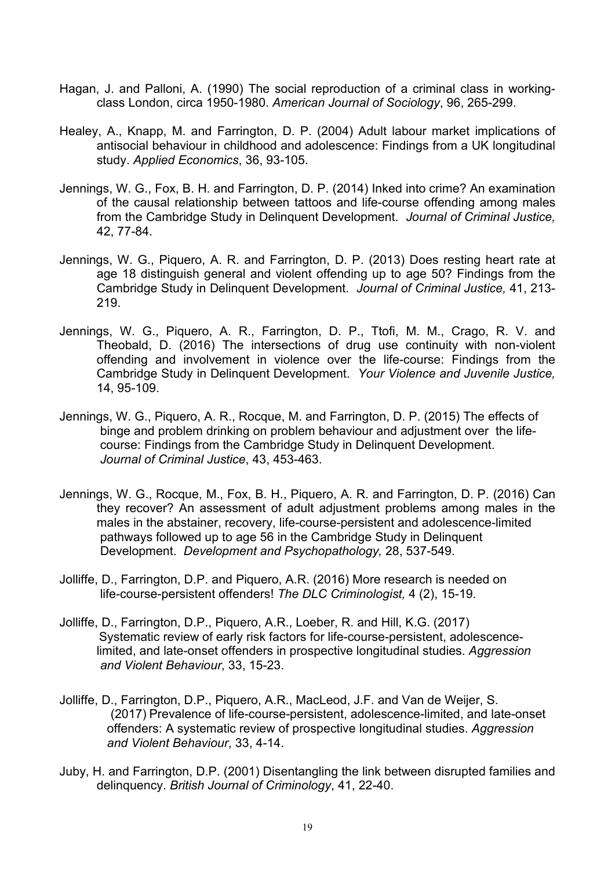- Hagan, J. and Palloni, A. (1990) The social reproduction of a criminal class in workingclass London, circa 1950-1980. *American Journal of Sociology*, 96, 265-299.
- Healey, A., Knapp, M. and Farrington, D. P. (2004) Adult labour market implications of antisocial behaviour in childhood and adolescence: Findings from a UK longitudinal study. *Applied Economics*, 36, 93-105.
- Jennings, W. G., Fox, B. H. and Farrington, D. P. (2014) Inked into crime? An examination of the causal relationship between tattoos and life-course offending among males from the Cambridge Study in Delinquent Development. *Journal of Criminal Justice,* 42, 77-84.
- Jennings, W. G., Piquero, A. R. and Farrington, D. P. (2013) Does resting heart rate at age 18 distinguish general and violent offending up to age 50? Findings from the Cambridge Study in Delinquent Development. *Journal of Criminal Justice,* 41, 213- 219.
- Jennings, W. G., Piquero, A. R., Farrington, D. P., Ttofi, M. M., Crago, R. V. and Theobald, D. (2016) The intersections of drug use continuity with non-violent offending and involvement in violence over the life-course: Findings from the Cambridge Study in Delinquent Development. *Your Violence and Juvenile Justice,*  14, 95-109.
- Jennings, W. G., Piquero, A. R., Rocque, M. and Farrington, D. P. (2015) The effects of binge and problem drinking on problem behaviour and adjustment over the lifecourse: Findings from the Cambridge Study in Delinquent Development. *Journal of Criminal Justice*, 43, 453-463.
- Jennings, W. G., Rocque, M., Fox, B. H., Piquero, A. R. and Farrington, D. P. (2016) Can they recover? An assessment of adult adjustment problems among males in the males in the abstainer, recovery, life-course-persistent and adolescence-limited pathways followed up to age 56 in the Cambridge Study in Delinquent Development. *Development and Psychopathology,* 28, 537-549.
- Jolliffe, D., Farrington, D.P. and Piquero, A.R. (2016) More research is needed on life-course-persistent offenders! *The DLC Criminologist,* 4 (2), 15-19*.*
- Jolliffe, D., Farrington, D.P., Piquero, A.R., Loeber, R. and Hill, K.G. (2017) Systematic review of early risk factors for life-course-persistent, adolescencelimited, and late-onset offenders in prospective longitudinal studies. *Aggression and Violent Behaviour*, 33, 15-23.
- Jolliffe, D., Farrington, D.P., Piquero, A.R., MacLeod, J.F. and Van de Weijer, S. (2017) Prevalence of life-course-persistent, adolescence-limited, and late-onset offenders: A systematic review of prospective longitudinal studies. *Aggression and Violent Behaviour*, 33, 4-14.
- Juby, H. and Farrington, D.P. (2001) Disentangling the link between disrupted families and delinquency. *British Journal of Criminology*, 41, 22-40.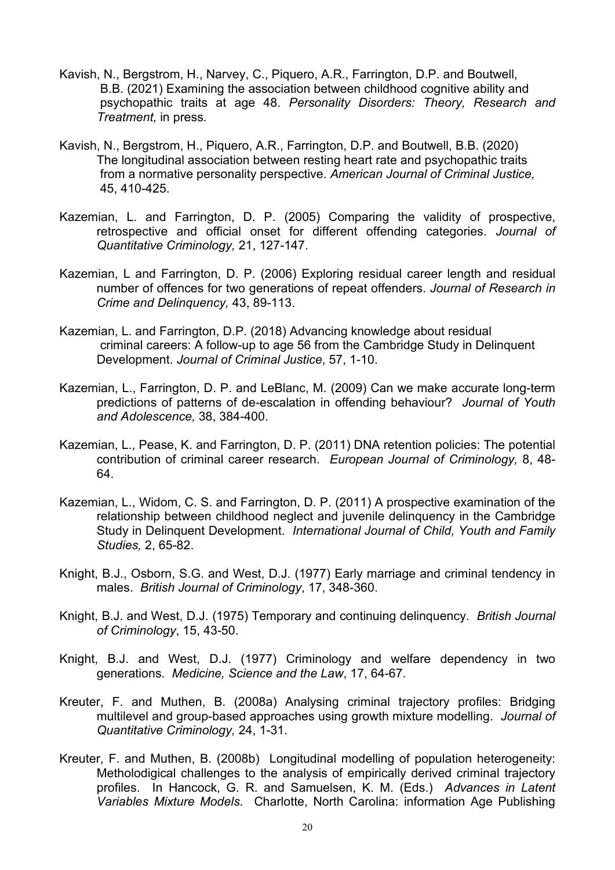- Kavish, N., Bergstrom, H., Narvey, C., Piquero, A.R., Farrington, D.P. and Boutwell, B.B. (2021) Examining the association between childhood cognitive ability and psychopathic traits at age 48. *Personality Disorders: Theory, Research and Treatment,* in press*.*
- Kavish, N., Bergstrom, H., Piquero, A.R., Farrington, D.P. and Boutwell, B.B. (2020) The longitudinal association between resting heart rate and psychopathic traits from a normative personality perspective. *American Journal of Criminal Justice,* 45, 410-425.
- Kazemian, L. and Farrington, D. P. (2005) Comparing the validity of prospective, retrospective and official onset for different offending categories. *Journal of Quantitative Criminology,* 21, 127-147.
- Kazemian, L and Farrington, D. P. (2006) Exploring residual career length and residual number of offences for two generations of repeat offenders. *Journal of Research in Crime and Delinquency,* 43, 89-113.
- Kazemian, L. and Farrington, D.P. (2018) Advancing knowledge about residual criminal careers: A follow-up to age 56 from the Cambridge Study in Delinquent Development. *Journal of Criminal Justice*, 57, 1-10.
- Kazemian, L., Farrington, D. P. and LeBlanc, M. (2009) Can we make accurate long-term predictions of patterns of de-escalation in offending behaviour? *Journal of Youth and Adolescence,* 38, 384-400.
- Kazemian, L., Pease, K. and Farrington, D. P. (2011) DNA retention policies: The potential contribution of criminal career research. *European Journal of Criminology,* 8, 48- 64.
- Kazemian, L., Widom, C. S. and Farrington, D. P. (2011) A prospective examination of the relationship between childhood neglect and juvenile delinquency in the Cambridge Study in Delinquent Development. *International Journal of Child, Youth and Family Studies,* 2, 65-82.
- Knight, B.J., Osborn, S.G. and West, D.J. (1977) Early marriage and criminal tendency in males. *British Journal of Criminology*, 17, 348-360.
- Knight, B.J. and West, D.J. (1975) Temporary and continuing delinquency. *British Journal of Criminology*, 15, 43-50.
- Knight, B.J. and West, D.J. (1977) Criminology and welfare dependency in two generations. *Medicine, Science and the Law*, 17, 64-67.
- Kreuter, F. and Muthen, B. (2008a) Analysing criminal trajectory profiles: Bridging multilevel and group-based approaches using growth mixture modelling. *Journal of Quantitative Criminology,* 24, 1-31.
- Kreuter, F. and Muthen, B. (2008b) Longitudinal modelling of population heterogeneity: Metholodigical challenges to the analysis of empirically derived criminal trajectory profiles. In Hancock, G. R. and Samuelsen, K. M. (Eds.) *Advances in Latent Variables Mixture Models.* Charlotte, North Carolina: information Age Publishing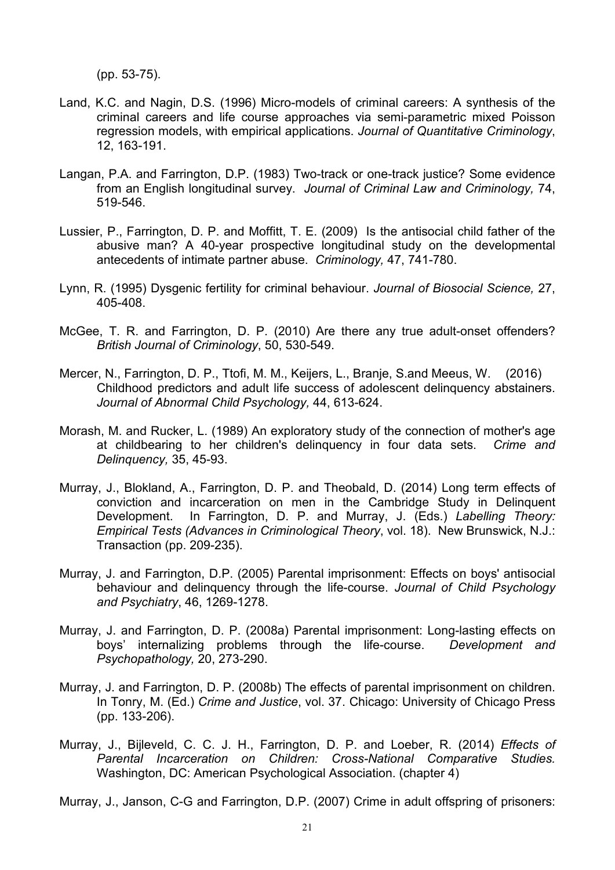(pp. 53-75).

- Land, K.C. and Nagin, D.S. (1996) Micro-models of criminal careers: A synthesis of the criminal careers and life course approaches via semi-parametric mixed Poisson regression models, with empirical applications. *Journal of Quantitative Criminology*, 12, 163-191.
- Langan, P.A. and Farrington, D.P. (1983) Two-track or one-track justice? Some evidence from an English longitudinal survey. *Journal of Criminal Law and Criminology,* 74, 519-546.
- Lussier, P., Farrington, D. P. and Moffitt, T. E. (2009) Is the antisocial child father of the abusive man? A 40-year prospective longitudinal study on the developmental antecedents of intimate partner abuse. *Criminology,* 47, 741-780.
- Lynn, R. (1995) Dysgenic fertility for criminal behaviour. *Journal of Biosocial Science,* 27, 405-408.
- McGee, T. R. and Farrington, D. P. (2010) Are there any true adult-onset offenders? *British Journal of Criminology*, 50, 530-549.
- Mercer, N., Farrington, D. P., Ttofi, M. M., Keijers, L., Branje, S.and Meeus, W. (2016) Childhood predictors and adult life success of adolescent delinquency abstainers. *Journal of Abnormal Child Psychology,* 44, 613-624.
- Morash, M. and Rucker, L. (1989) An exploratory study of the connection of mother's age at childbearing to her children's delinquency in four data sets. *Crime and Delinquency,* 35, 45-93.
- Murray, J., Blokland, A., Farrington, D. P. and Theobald, D. (2014) Long term effects of conviction and incarceration on men in the Cambridge Study in Delinquent Development. In Farrington, D. P. and Murray, J. (Eds.) *Labelling Theory: Empirical Tests (Advances in Criminological Theory*, vol. 18). New Brunswick, N.J.: Transaction (pp. 209-235).
- Murray, J. and Farrington, D.P. (2005) Parental imprisonment: Effects on boys' antisocial behaviour and delinquency through the life-course. *Journal of Child Psychology and Psychiatry*, 46, 1269-1278.
- Murray, J. and Farrington, D. P. (2008a) Parental imprisonment: Long-lasting effects on boys' internalizing problems through the life-course. *Development and Psychopathology,* 20, 273-290.
- Murray, J. and Farrington, D. P. (2008b) The effects of parental imprisonment on children. In Tonry, M. (Ed.) *Crime and Justice*, vol. 37. Chicago: University of Chicago Press (pp. 133-206).
- Murray, J., Bijleveld, C. C. J. H., Farrington, D. P. and Loeber, R. (2014) *Effects of Parental Incarceration on Children: Cross-National Comparative Studies.* Washington, DC: American Psychological Association. (chapter 4)
- Murray, J., Janson, C-G and Farrington, D.P. (2007) Crime in adult offspring of prisoners: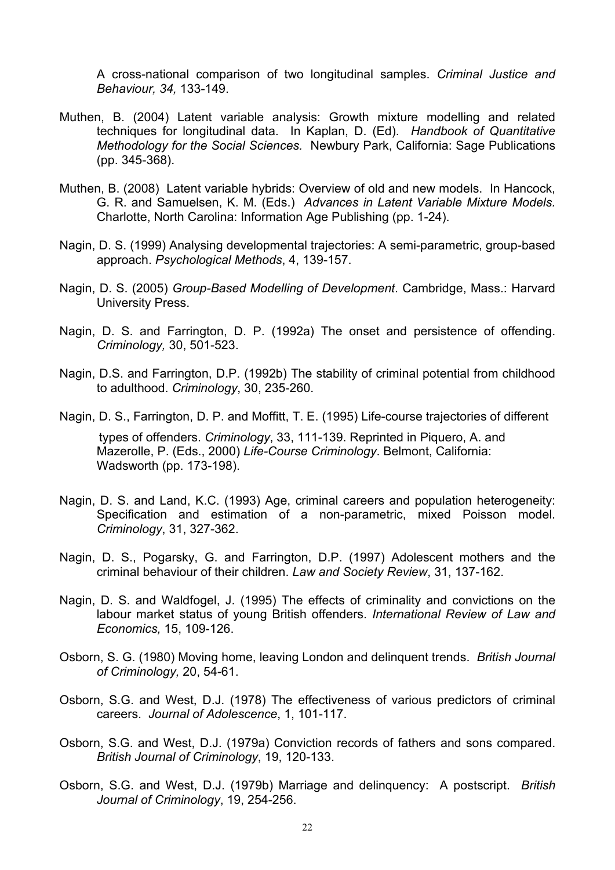A cross-national comparison of two longitudinal samples. *Criminal Justice and Behaviour, 34,* 133-149.

- Muthen, B. (2004) Latent variable analysis: Growth mixture modelling and related techniques for longitudinal data. In Kaplan, D. (Ed). *Handbook of Quantitative Methodology for the Social Sciences.* Newbury Park, California: Sage Publications (pp. 345-368).
- Muthen, B. (2008) Latent variable hybrids: Overview of old and new models. In Hancock, G. R. and Samuelsen, K. M. (Eds.) *Advances in Latent Variable Mixture Models.* Charlotte, North Carolina: Information Age Publishing (pp. 1-24).
- Nagin, D. S. (1999) Analysing developmental trajectories: A semi-parametric, group-based approach. *Psychological Methods*, 4, 139-157.
- Nagin, D. S. (2005) *Group-Based Modelling of Development*. Cambridge, Mass.: Harvard University Press.
- Nagin, D. S. and Farrington, D. P. (1992a) The onset and persistence of offending. *Criminology,* 30, 501-523.
- Nagin, D.S. and Farrington, D.P. (1992b) The stability of criminal potential from childhood to adulthood. *Criminology*, 30, 235-260.
- Nagin, D. S., Farrington, D. P. and Moffitt, T. E. (1995) Life-course trajectories of different types of offenders. *Criminology*, 33, 111-139. Reprinted in Piquero, A. and Mazerolle, P. (Eds., 2000) *Life-Course Criminology*. Belmont, California: Wadsworth (pp. 173-198).
- Nagin, D. S. and Land, K.C. (1993) Age, criminal careers and population heterogeneity: Specification and estimation of a non-parametric, mixed Poisson model. *Criminology*, 31, 327-362.
- Nagin, D. S., Pogarsky, G. and Farrington, D.P. (1997) Adolescent mothers and the criminal behaviour of their children. *Law and Society Review*, 31, 137-162.
- Nagin, D. S. and Waldfogel, J. (1995) The effects of criminality and convictions on the labour market status of young British offenders. *International Review of Law and Economics,* 15, 109-126.
- Osborn, S. G. (1980) Moving home, leaving London and delinquent trends. *British Journal of Criminology,* 20, 54-61.
- Osborn, S.G. and West, D.J. (1978) The effectiveness of various predictors of criminal careers. *Journal of Adolescence*, 1, 101-117.
- Osborn, S.G. and West, D.J. (1979a) Conviction records of fathers and sons compared. *British Journal of Criminology*, 19, 120-133.
- Osborn, S.G. and West, D.J. (1979b) Marriage and delinquency: A postscript. *British Journal of Criminology*, 19, 254-256.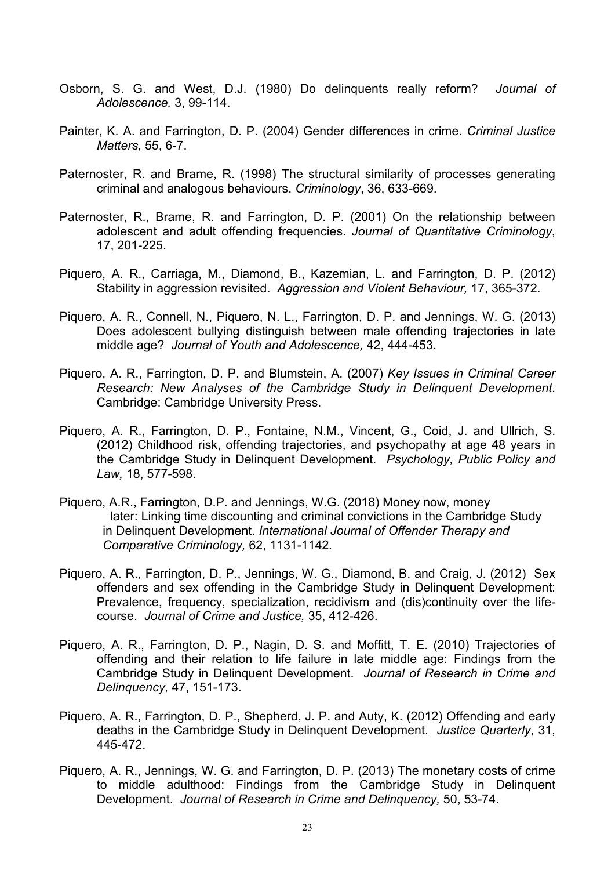- Osborn, S. G. and West, D.J. (1980) Do delinquents really reform? *Journal of Adolescence,* 3, 99-114.
- Painter, K. A. and Farrington, D. P. (2004) Gender differences in crime. *Criminal Justice Matters*, 55, 6-7.
- Paternoster, R. and Brame, R. (1998) The structural similarity of processes generating criminal and analogous behaviours. *Criminology*, 36, 633-669.
- Paternoster, R., Brame, R. and Farrington, D. P. (2001) On the relationship between adolescent and adult offending frequencies. *Journal of Quantitative Criminology*, 17, 201-225.
- Piquero, A. R., Carriaga, M., Diamond, B., Kazemian, L. and Farrington, D. P. (2012) Stability in aggression revisited. *Aggression and Violent Behaviour,* 17, 365-372.
- Piquero, A. R., Connell, N., Piquero, N. L., Farrington, D. P. and Jennings, W. G. (2013) Does adolescent bullying distinguish between male offending trajectories in late middle age? *Journal of Youth and Adolescence,* 42, 444-453.
- Piquero, A. R., Farrington, D. P. and Blumstein, A. (2007) *Key Issues in Criminal Career Research: New Analyses of the Cambridge Study in Delinquent Development*. Cambridge: Cambridge University Press.
- Piquero, A. R., Farrington, D. P., Fontaine, N.M., Vincent, G., Coid, J. and Ullrich, S. (2012) Childhood risk, offending trajectories, and psychopathy at age 48 years in the Cambridge Study in Delinquent Development. *Psychology, Public Policy and Law,* 18, 577-598.
- Piquero, A.R., Farrington, D.P. and Jennings, W.G. (2018) Money now, money later: Linking time discounting and criminal convictions in the Cambridge Study in Delinquent Development. *International Journal of Offender Therapy and Comparative Criminology,* 62, 1131-1142*.*
- Piquero, A. R., Farrington, D. P., Jennings, W. G., Diamond, B. and Craig, J. (2012) Sex offenders and sex offending in the Cambridge Study in Delinquent Development: Prevalence, frequency, specialization, recidivism and (dis)continuity over the lifecourse. *Journal of Crime and Justice,* 35, 412-426.
- Piquero, A. R., Farrington, D. P., Nagin, D. S. and Moffitt, T. E. (2010) Trajectories of offending and their relation to life failure in late middle age: Findings from the Cambridge Study in Delinquent Development. *Journal of Research in Crime and Delinquency,* 47, 151-173.
- Piquero, A. R., Farrington, D. P., Shepherd, J. P. and Auty, K. (2012) Offending and early deaths in the Cambridge Study in Delinquent Development. *Justice Quarterly*, 31, 445-472.
- Piquero, A. R., Jennings, W. G. and Farrington, D. P. (2013) The monetary costs of crime to middle adulthood: Findings from the Cambridge Study in Delinquent Development. *Journal of Research in Crime and Delinquency,* 50, 53-74.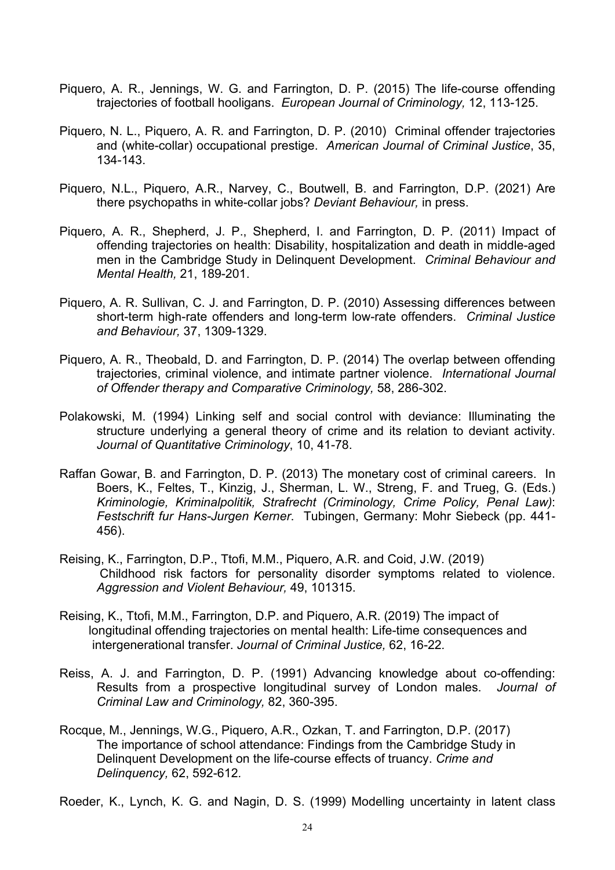- Piquero, A. R., Jennings, W. G. and Farrington, D. P. (2015) The life-course offending trajectories of football hooligans. *European Journal of Criminology,* 12, 113-125.
- Piquero, N. L., Piquero, A. R. and Farrington, D. P. (2010) Criminal offender trajectories and (white-collar) occupational prestige. *American Journal of Criminal Justice*, 35, 134-143.
- Piquero, N.L., Piquero, A.R., Narvey, C., Boutwell, B. and Farrington, D.P. (2021) Are there psychopaths in white-collar jobs? *Deviant Behaviour,* in press.
- Piquero, A. R., Shepherd, J. P., Shepherd, I. and Farrington, D. P. (2011) Impact of offending trajectories on health: Disability, hospitalization and death in middle-aged men in the Cambridge Study in Delinquent Development. *Criminal Behaviour and Mental Health,* 21, 189-201.
- Piquero, A. R. Sullivan, C. J. and Farrington, D. P. (2010) Assessing differences between short-term high-rate offenders and long-term low-rate offenders. *Criminal Justice and Behaviour,* 37, 1309-1329.
- Piquero, A. R., Theobald, D. and Farrington, D. P. (2014) The overlap between offending trajectories, criminal violence, and intimate partner violence. *International Journal of Offender therapy and Comparative Criminology,* 58, 286-302.
- Polakowski, M. (1994) Linking self and social control with deviance: Illuminating the structure underlying a general theory of crime and its relation to deviant activity. *Journal of Quantitative Criminology*, 10, 41-78.
- Raffan Gowar, B. and Farrington, D. P. (2013) The monetary cost of criminal careers. In Boers, K., Feltes, T., Kinzig, J., Sherman, L. W., Streng, F. and Trueg, G. (Eds.) *Kriminologie, Kriminalpolitik, Strafrecht (Criminology, Crime Policy, Penal Law)*: *Festschrift fur Hans-Jurgen Kerner*. Tubingen, Germany: Mohr Siebeck (pp. 441- 456).
- Reising, K., Farrington, D.P., Ttofi, M.M., Piquero, A.R. and Coid, J.W. (2019) Childhood risk factors for personality disorder symptoms related to violence. *Aggression and Violent Behaviour,* 49, 101315.
- Reising, K., Ttofi, M.M., Farrington, D.P. and Piquero, A.R. (2019) The impact of longitudinal offending trajectories on mental health: Life-time consequences and intergenerational transfer. *Journal of Criminal Justice,* 62, 16-22*.*
- Reiss, A. J. and Farrington, D. P. (1991) Advancing knowledge about co-offending: Results from a prospective longitudinal survey of London males. *Journal of Criminal Law and Criminology,* 82, 360-395.
- Rocque, M., Jennings, W.G., Piquero, A.R., Ozkan, T. and Farrington, D.P. (2017) The importance of school attendance: Findings from the Cambridge Study in Delinquent Development on the life-course effects of truancy. *Crime and Delinquency,* 62, 592-612*.*
- Roeder, K., Lynch, K. G. and Nagin, D. S. (1999) Modelling uncertainty in latent class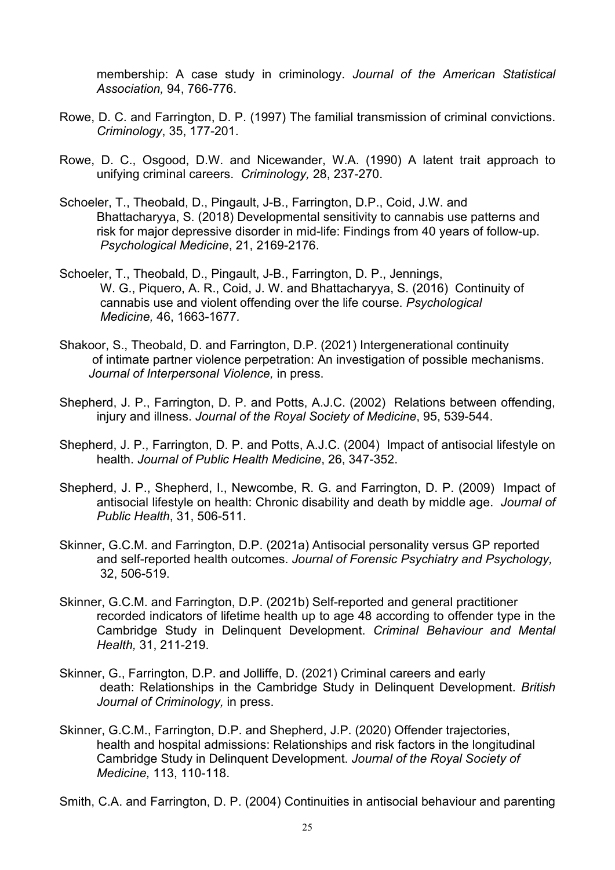membership: A case study in criminology. *Journal of the American Statistical Association,* 94, 766-776.

- Rowe, D. C. and Farrington, D. P. (1997) The familial transmission of criminal convictions. *Criminology*, 35, 177-201.
- Rowe, D. C., Osgood, D.W. and Nicewander, W.A. (1990) A latent trait approach to unifying criminal careers. *Criminology,* 28, 237-270.
- Schoeler, T., Theobald, D., Pingault, J-B., Farrington, D.P., Coid, J.W. and Bhattacharyya, S. (2018) Developmental sensitivity to cannabis use patterns and risk for major depressive disorder in mid-life: Findings from 40 years of follow-up. *Psychological Medicine*, 21, 2169-2176.
- Schoeler, T., Theobald, D., Pingault, J-B., Farrington, D. P., Jennings, W. G., Piquero, A. R., Coid, J. W. and Bhattacharyya, S. (2016) Continuity of cannabis use and violent offending over the life course. *Psychological Medicine,* 46, 1663-1677*.*
- Shakoor, S., Theobald, D. and Farrington, D.P. (2021) Intergenerational continuity of intimate partner violence perpetration: An investigation of possible mechanisms. *Journal of Interpersonal Violence,* in press.
- Shepherd, J. P., Farrington, D. P. and Potts, A.J.C. (2002) Relations between offending, injury and illness. *Journal of the Royal Society of Medicine*, 95, 539-544.
- Shepherd, J. P., Farrington, D. P. and Potts, A.J.C. (2004) Impact of antisocial lifestyle on health. *Journal of Public Health Medicine*, 26, 347-352.
- Shepherd, J. P., Shepherd, I., Newcombe, R. G. and Farrington, D. P. (2009) Impact of antisocial lifestyle on health: Chronic disability and death by middle age. *Journal of Public Health*, 31, 506-511.
- Skinner, G.C.M. and Farrington, D.P. (2021a) Antisocial personality versus GP reported and self-reported health outcomes. *Journal of Forensic Psychiatry and Psychology,* 32, 506-519.
- Skinner, G.C.M. and Farrington, D.P. (2021b) Self-reported and general practitioner recorded indicators of lifetime health up to age 48 according to offender type in the Cambridge Study in Delinquent Development. *Criminal Behaviour and Mental Health,* 31, 211-219.
- Skinner, G., Farrington, D.P. and Jolliffe, D. (2021) Criminal careers and early death: Relationships in the Cambridge Study in Delinquent Development. *British Journal of Criminology,* in press.
- Skinner, G.C.M., Farrington, D.P. and Shepherd, J.P. (2020) Offender trajectories, health and hospital admissions: Relationships and risk factors in the longitudinal Cambridge Study in Delinquent Development. *Journal of the Royal Society of Medicine,* 113, 110-118.
- Smith, C.A. and Farrington, D. P. (2004) Continuities in antisocial behaviour and parenting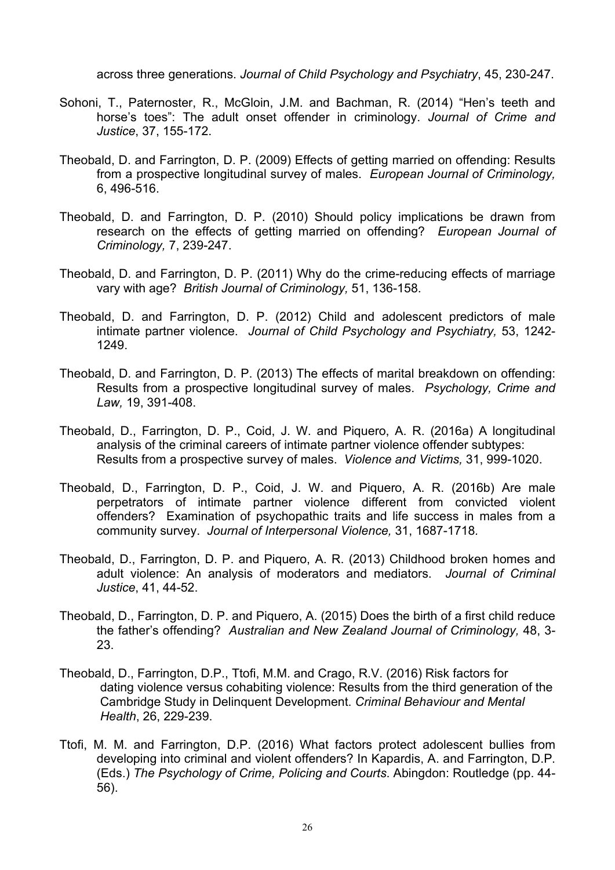across three generations. *Journal of Child Psychology and Psychiatry*, 45, 230-247.

- Sohoni, T., Paternoster, R., McGloin, J.M. and Bachman, R. (2014) "Hen's teeth and horse's toes": The adult onset offender in criminology. *Journal of Crime and Justice*, 37, 155-172.
- Theobald, D. and Farrington, D. P. (2009) Effects of getting married on offending: Results from a prospective longitudinal survey of males. *European Journal of Criminology,* 6, 496-516.
- Theobald, D. and Farrington, D. P. (2010) Should policy implications be drawn from research on the effects of getting married on offending? *European Journal of Criminology,* 7, 239-247.
- Theobald, D. and Farrington, D. P. (2011) Why do the crime-reducing effects of marriage vary with age? *British Journal of Criminology,* 51, 136-158.
- Theobald, D. and Farrington, D. P. (2012) Child and adolescent predictors of male intimate partner violence. *Journal of Child Psychology and Psychiatry,* 53, 1242- 1249.
- Theobald, D. and Farrington, D. P. (2013) The effects of marital breakdown on offending: Results from a prospective longitudinal survey of males. *Psychology, Crime and Law,* 19, 391-408.
- Theobald, D., Farrington, D. P., Coid, J. W. and Piquero, A. R. (2016a) A longitudinal analysis of the criminal careers of intimate partner violence offender subtypes: Results from a prospective survey of males. *Violence and Victims,* 31, 999-1020.
- Theobald, D., Farrington, D. P., Coid, J. W. and Piquero, A. R. (2016b) Are male perpetrators of intimate partner violence different from convicted violent offenders? Examination of psychopathic traits and life success in males from a community survey. *Journal of Interpersonal Violence,* 31, 1687-1718*.*
- Theobald, D., Farrington, D. P. and Piquero, A. R. (2013) Childhood broken homes and adult violence: An analysis of moderators and mediators. *Journal of Criminal Justice*, 41, 44-52.
- Theobald, D., Farrington, D. P. and Piquero, A. (2015) Does the birth of a first child reduce the father's offending? *Australian and New Zealand Journal of Criminology,* 48, 3- 23.
- Theobald, D., Farrington, D.P., Ttofi, M.M. and Crago, R.V. (2016) Risk factors for dating violence versus cohabiting violence: Results from the third generation of the Cambridge Study in Delinquent Development. *Criminal Behaviour and Mental Health*, 26, 229-239.
- Ttofi, M. M. and Farrington, D.P. (2016) What factors protect adolescent bullies from developing into criminal and violent offenders? In Kapardis, A. and Farrington, D.P. (Eds.) *The Psychology of Crime, Policing and Courts*. Abingdon: Routledge (pp. 44- 56).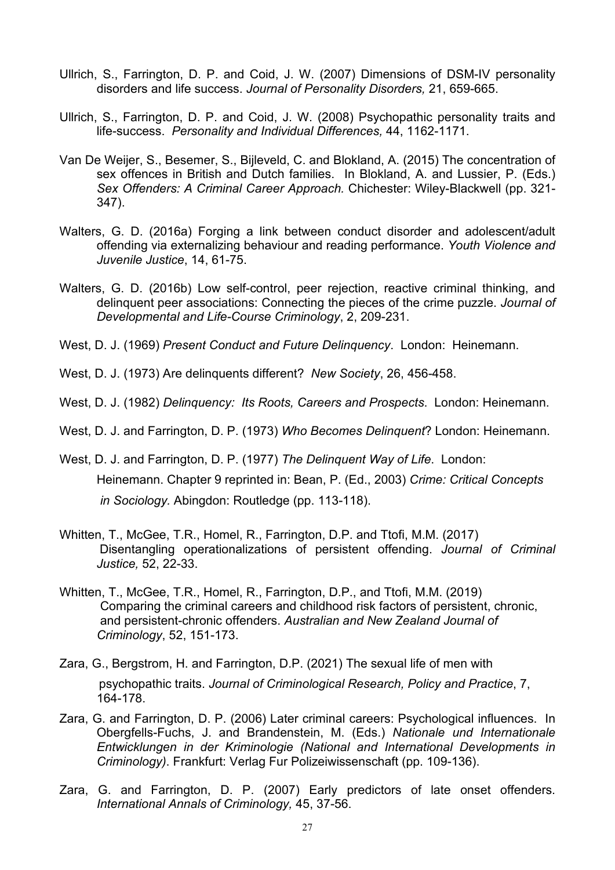- Ullrich, S., Farrington, D. P. and Coid, J. W. (2007) Dimensions of DSM-IV personality disorders and life success. *Journal of Personality Disorders,* 21, 659-665.
- Ullrich, S., Farrington, D. P. and Coid, J. W. (2008) Psychopathic personality traits and life-success. *Personality and Individual Differences,* 44, 1162-1171.
- Van De Weijer, S., Besemer, S., Bijleveld, C. and Blokland, A. (2015) The concentration of sex offences in British and Dutch families. In Blokland, A. and Lussier, P. (Eds.) *Sex Offenders: A Criminal Career Approach.* Chichester: Wiley-Blackwell (pp. 321- 347).
- Walters, G. D. (2016a) Forging a link between conduct disorder and adolescent/adult offending via externalizing behaviour and reading performance. *Youth Violence and Juvenile Justice*, 14, 61-75.
- Walters, G. D. (2016b) Low self-control, peer rejection, reactive criminal thinking, and delinquent peer associations: Connecting the pieces of the crime puzzle. *Journal of Developmental and Life-Course Criminology*, 2, 209-231.
- West, D. J. (1969) *Present Conduct and Future Delinquency*. London: Heinemann.
- West, D. J. (1973) Are delinquents different? *New Society*, 26, 456-458.
- West, D. J. (1982) *Delinquency: Its Roots, Careers and Prospects*. London: Heinemann.
- West, D. J. and Farrington, D. P. (1973) *Who Becomes Delinquent*? London: Heinemann.
- West, D. J. and Farrington, D. P. (1977) *The Delinquent Way of Life*. London: Heinemann. Chapter 9 reprinted in: Bean, P. (Ed., 2003) *Crime: Critical Concepts in Sociology.* Abingdon: Routledge (pp. 113-118).
- Whitten, T., McGee, T.R., Homel, R., Farrington, D.P. and Ttofi, M.M. (2017) Disentangling operationalizations of persistent offending. *Journal of Criminal Justice,* 52, 22-33.
- Whitten, T., McGee, T.R., Homel, R., Farrington, D.P., and Ttofi, M.M. (2019) Comparing the criminal careers and childhood risk factors of persistent, chronic, and persistent-chronic offenders. *Australian and New Zealand Journal of Criminology*, 52, 151-173.
- Zara, G., Bergstrom, H. and Farrington, D.P. (2021) The sexual life of men with psychopathic traits. *Journal of Criminological Research, Policy and Practice*, 7, 164-178.
- Zara, G. and Farrington, D. P. (2006) Later criminal careers: Psychological influences. In Obergfells-Fuchs, J. and Brandenstein, M. (Eds.) *Nationale und Internationale Entwicklungen in der Kriminologie (National and International Developments in Criminology)*. Frankfurt: Verlag Fur Polizeiwissenschaft (pp. 109-136).
- Zara, G. and Farrington, D. P. (2007) Early predictors of late onset offenders. *International Annals of Criminology,* 45, 37-56.